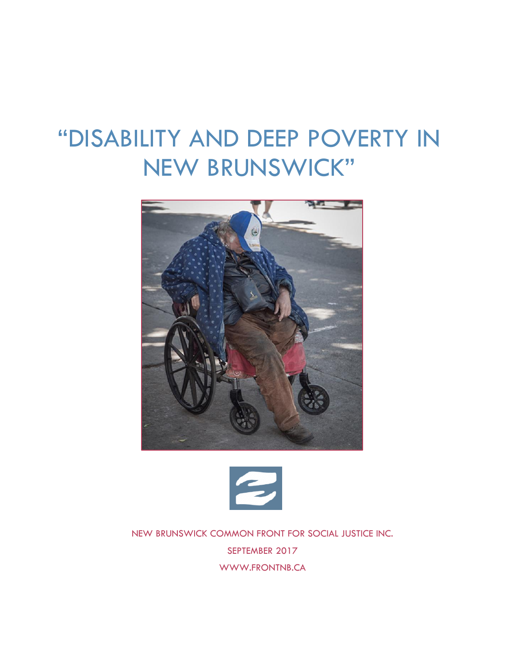# "DISABILITY AND DEEP POVERTY IN NEW BRUNSWICK"





NEW BRUNSWICK COMMON FRONT FOR SOCIAL JUSTICE INC. SEPTEMBER 2017 [WWW.FRONTNB.CA](http://www.frontnb.ca/)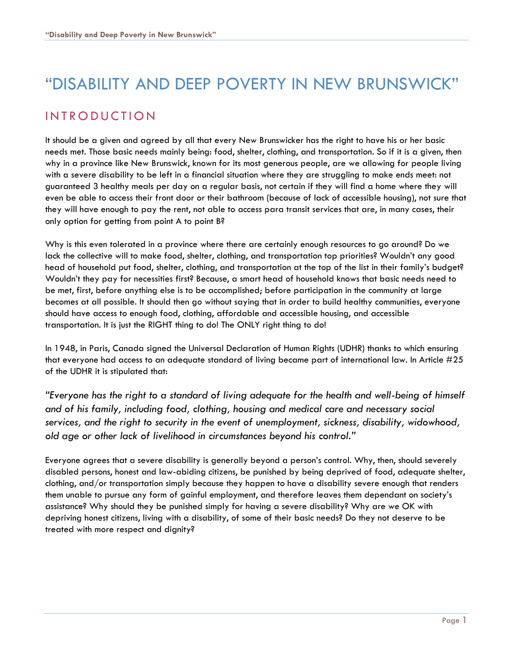## "DISABILITY AND DEEP POVERTY IN NEW BRUNSWICK"

## **INTRODUCTION**

It should be a given and agreed by all that every New Brunswicker has the right to have his or her basic needs met. Those basic needs mainly being: food, shelter, clothing, and transportation. So if it is a given, then why in a province like New Brunswick, known for its most generous people, are we allowing for people living with a severe disability to be left in a financial situation where they are struggling to make ends meet: not guaranteed 3 healthy meals per day on a regular basis, not certain if they will find a home where they will even be able to access their front door or their bathroom (because of lack of accessible housing), not sure that they will have enough to pay the rent, not able to access para transit services that are, in many cases, their only option for getting from point A to point B?

Why is this even tolerated in a province where there are certainly enough resources to go around? Do we lack the collective will to make food, shelter, clothing, and transportation top priorities? Wouldn't any good head of household put food, shelter, clothing, and transportation at the top of the list in their family's budget? Wouldn't they pay for necessities first? Because, a smart head of household knows that basic needs need to be met, first, before anything else is to be accomplished; before participation in the community at large becomes at all possible. It should then go without saying that in order to build healthy communities, everyone should have access to enough food, clothing, affordable and accessible housing, and accessible transportation. It is just the RIGHT thing to do! The ONLY right thing to do!

In 1948, in Paris, Canada signed the Universal Declaration of Human Rights (UDHR) thanks to which ensuring that everyone had access to an adequate standard of living became part of international law. In Article #25 of the UDHR it is stipulated that:

*"Everyone has the right to a standard of living adequate for the health and well-being of himself and of his family, including food, clothing, housing and medical care and necessary social services, and the right to security in the event of unemployment, sickness, disability, widowhood, old age or other lack of livelihood in circumstances beyond his control."*

Everyone agrees that a severe disability is generally beyond a person's control. Why, then, should severely disabled persons, honest and law-abiding citizens, be punished by being deprived of food, adequate shelter, clothing, and/or transportation simply because they happen to have a disability severe enough that renders them unable to pursue any form of gainful employment, and therefore leaves them dependant on society's assistance? Why should they be punished simply for having a severe disability? Why are we OK with depriving honest citizens, living with a disability, of some of their basic needs? Do they not deserve to be treated with more respect and dignity?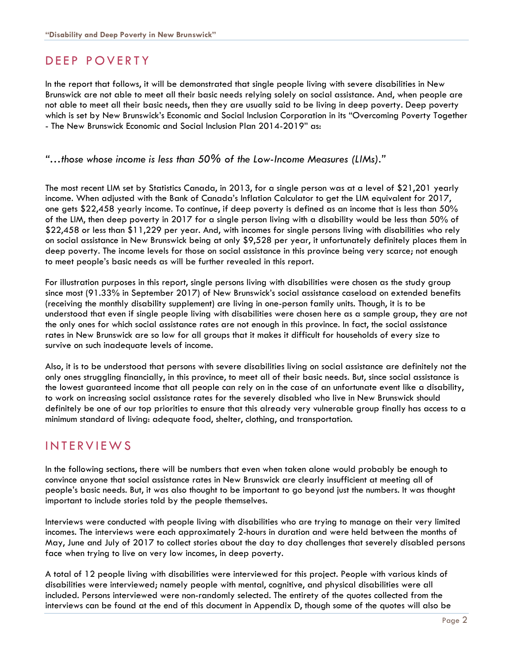## DEEP POVERTY

In the report that follows, it will be demonstrated that single people living with severe disabilities in New Brunswick are not able to meet all their basic needs relying solely on social assistance. And, when people are not able to meet all their basic needs, then they are usually said to be living in deep poverty. Deep poverty which is set by New Brunswick's Economic and Social Inclusion Corporation in its "Overcoming Poverty Together - The New Brunswick Economic and Social Inclusion Plan 2014-2019" as:

#### *"…those whose income is less than 50% of the Low-Income Measures (LIMs)."*

The most recent LIM set by Statistics Canada, in 2013, for a single person was at a level of \$21,201 yearly income. When adjusted with the Bank of Canada's Inflation Calculator to get the LIM equivalent for 2017, one gets \$22,458 yearly income. To continue, if deep poverty is defined as an income that is less than 50% of the LIM, then deep poverty in 2017 for a single person living with a disability would be less than 50% of \$22,458 or less than \$11,229 per year. And, with incomes for single persons living with disabilities who rely on social assistance in New Brunswick being at only \$9,528 per year, it unfortunately definitely places them in deep poverty. The income levels for those on social assistance in this province being very scarce; not enough to meet people's basic needs as will be further revealed in this report.

For illustration purposes in this report, single persons living with disabilities were chosen as the study group since most (91.33% in September 2017) of New Brunswick's social assistance caseload on extended benefits (receiving the monthly disability supplement) are living in one-person family units. Though, it is to be understood that even if single people living with disabilities were chosen here as a sample group, they are not the only ones for which social assistance rates are not enough in this province. In fact, the social assistance rates in New Brunswick are so low for all groups that it makes it difficult for households of every size to survive on such inadequate levels of income.

Also, it is to be understood that persons with severe disabilities living on social assistance are definitely not the only ones struggling financially, in this province, to meet all of their basic needs. But, since social assistance is the lowest guaranteed income that all people can rely on in the case of an unfortunate event like a disability, to work on increasing social assistance rates for the severely disabled who live in New Brunswick should definitely be one of our top priorities to ensure that this already very vulnerable group finally has access to a minimum standard of living: adequate food, shelter, clothing, and transportation.

## IN TERVIEWS

In the following sections, there will be numbers that even when taken alone would probably be enough to convince anyone that social assistance rates in New Brunswick are clearly insufficient at meeting all of people's basic needs. But, it was also thought to be important to go beyond just the numbers. It was thought important to include stories told by the people themselves.

Interviews were conducted with people living with disabilities who are trying to manage on their very limited incomes. The interviews were each approximately 2-hours in duration and were held between the months of May, June and July of 2017 to collect stories about the day to day challenges that severely disabled persons face when trying to live on very low incomes, in deep poverty.

A total of 12 people living with disabilities were interviewed for this project. People with various kinds of disabilities were interviewed; namely people with mental, cognitive, and physical disabilities were all included. Persons interviewed were non-randomly selected. The entirety of the quotes collected from the interviews can be found at the end of this document in Appendix D, though some of the quotes will also be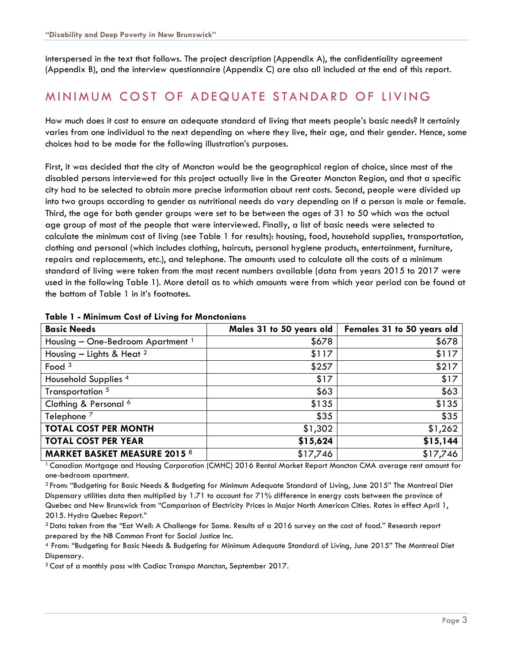interspersed in the text that follows. The project description (Appendix A), the confidentiality agreement (Appendix B), and the interview questionnaire (Appendix C) are also all included at the end of this report.

## MINIMUM COST OF ADEQUATE STANDARD OF LIVING

How much does it cost to ensure an adequate standard of living that meets people's basic needs? It certainly varies from one individual to the next depending on where they live, their age, and their gender. Hence, some choices had to be made for the following illustration's purposes.

First, it was decided that the city of Moncton would be the geographical region of choice, since most of the disabled persons interviewed for this project actually live in the Greater Moncton Region, and that a specific city had to be selected to obtain more precise information about rent costs. Second, people were divided up into two groups according to gender as nutritional needs do vary depending on if a person is male or female. Third, the age for both gender groups were set to be between the ages of 31 to 50 which was the actual age group of most of the people that were interviewed. Finally, a list of basic needs were selected to calculate the minimum cost of living (see Table 1 for results): housing, food, household supplies, transportation, clothing and personal (which includes clothing, haircuts, personal hygiene products, entertainment, furniture, repairs and replacements, etc.), and telephone. The amounts used to calculate all the costs of a minimum standard of living were taken from the most recent numbers available (data from years 2015 to 2017 were used in the following Table 1). More detail as to which amounts were from which year period can be found at the bottom of Table 1 in it's footnotes.

| <b>Basic Needs</b>                           | Males 31 to 50 years old | Females 31 to 50 years old |
|----------------------------------------------|--------------------------|----------------------------|
| Housing - One-Bedroom Apartment <sup>1</sup> | \$678                    | \$678                      |
| Housing $-$ Lights & Heat $^2$               | \$117                    | \$117                      |
| Food $3$                                     | \$257                    | \$217                      |
| Household Supplies <sup>4</sup>              | \$17                     | \$17                       |
| Transportation <sup>5</sup>                  | \$63                     | \$63                       |
| Clothing & Personal 6                        | \$135                    | \$135                      |
| Telephone <sup>7</sup>                       | \$35                     | \$35                       |
| <b>TOTAL COST PER MONTH</b>                  | \$1,302                  | \$1,262                    |
| <b>TOTAL COST PER YEAR</b>                   | \$15,624                 | \$15,144                   |
| <b>MARKET BASKET MEASURE 2015 8</b>          | \$17,746                 | \$17,746                   |

#### **Table 1 - Minimum Cost of Living for Monctonians**

<sup>1</sup>Canadian Mortgage and Housing Corporation (CMHC) 2016 Rental Market Report Moncton CMA average rent amount for one-bedroom apartment.

<sup>2</sup>From: "Budgeting for Basic Needs & Budgeting for Minimum Adequate Standard of Living, June 2015" The Montreal Diet Dispensary utilities data then multiplied by 1.71 to account for 71% difference in energy costs between the province of Quebec and New Brunswick from "Comparison of Electricity Prices in Major North American Cities. Rates in effect April 1, 2015. Hydro Quebec Report."

<sup>3</sup>Data taken from the "Eat Well: A Challenge for Some. Results of a 2016 survey on the cost of food." Research report prepared by the NB Common Front for Social Justice Inc.

<sup>4</sup>From: "Budgeting for Basic Needs & Budgeting for Minimum Adequate Standard of Living, June 2015" The Montreal Diet Dispensary.

<sup>5</sup> Cost of a monthly pass with Codiac Transpo Moncton, September 2017.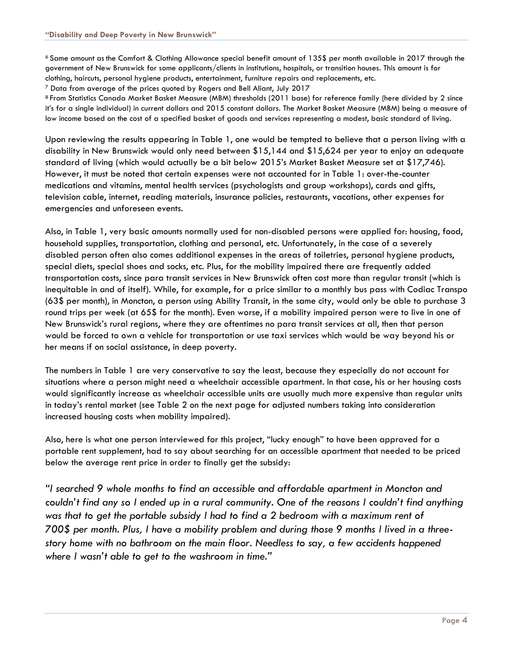<sup>6</sup> Same amount as the Comfort & Clothing Allowance special benefit amount of 135\$ per month available in 2017 through the government of New Brunswick for some applicants/clients in institutions, hospitals, or transition houses. This amount is for clothing, haircuts, personal hygiene products, entertainment, furniture repairs and replacements, etc.

<sup>7</sup> Data from average of the prices quoted by Rogers and Bell Aliant, July 2017

<sup>8</sup> From Statistics Canada Market Basket Measure (MBM) thresholds (2011 base) for reference family (here divided by 2 since it's for a single individual) in current dollars and 2015 constant dollars. The Market Basket Measure (MBM) being a measure of low income based on the cost of a specified basket of goods and services representing a modest, basic standard of living.

Upon reviewing the results appearing in Table 1, one would be tempted to believe that a person living with a disability in New Brunswick would only need between \$15,144 and \$15,624 per year to enjoy an adequate standard of living (which would actually be a bit below 2015's Market Basket Measure set at \$17,746). However, it must be noted that certain expenses were not accounted for in Table 1: over-the-counter medications and vitamins, mental health services (psychologists and group workshops), cards and gifts, television cable, internet, reading materials, insurance policies, restaurants, vacations, other expenses for emergencies and unforeseen events.

Also, in Table 1, very basic amounts normally used for non-disabled persons were applied for: housing, food, household supplies, transportation, clothing and personal, etc. Unfortunately, in the case of a severely disabled person often also comes additional expenses in the areas of toiletries, personal hygiene products, special diets, special shoes and socks, etc. Plus, for the mobility impaired there are frequently added transportation costs, since para transit services in New Brunswick often cost more than regular transit (which is inequitable in and of itself). While, for example, for a price similar to a monthly bus pass with Codiac Transpo (63\$ per month), in Moncton, a person using Ability Transit, in the same city, would only be able to purchase 3 round trips per week (at 65\$ for the month). Even worse, if a mobility impaired person were to live in one of New Brunswick's rural regions, where they are oftentimes no para transit services at all, then that person would be forced to own a vehicle for transportation or use taxi services which would be way beyond his or her means if on social assistance, in deep poverty.

The numbers in Table 1 are very conservative to say the least, because they especially do not account for situations where a person might need a wheelchair accessible apartment. In that case, his or her housing costs would significantly increase as wheelchair accessible units are usually much more expensive than regular units in today's rental market (see Table 2 on the next page for adjusted numbers taking into consideration increased housing costs when mobility impaired).

Also, here is what one person interviewed for this project, "lucky enough" to have been approved for a portable rent supplement, had to say about searching for an accessible apartment that needed to be priced below the average rent price in order to finally get the subsidy:

*"I searched 9 whole months to find an accessible and affordable apartment in Moncton and couldn't find any so I ended up in a rural community. One of the reasons I couldn't find anything was that to get the portable subsidy I had to find a 2 bedroom with a maximum rent of 700\$ per month. Plus, I have a mobility problem and during those 9 months I lived in a threestory home with no bathroom on the main floor. Needless to say, a few accidents happened where I wasn't able to get to the washroom in time."*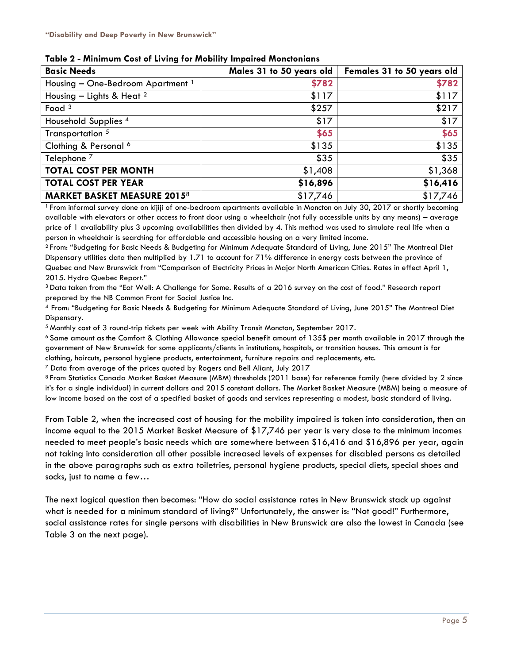| <b>Basic Needs</b>                           | Males 31 to 50 years old | Females 31 to 50 years old |
|----------------------------------------------|--------------------------|----------------------------|
| Housing - One-Bedroom Apartment <sup>1</sup> | \$782                    | \$782                      |
| Housing - Lights & Heat $^2$                 | \$117                    | \$117                      |
| Food $3$                                     | \$257                    | \$217                      |
| Household Supplies <sup>4</sup>              | \$17                     | \$17                       |
| Transportation 5                             | \$65                     | \$65                       |
| Clothing & Personal 6                        | \$135                    | \$135                      |
| Telephone <sup>7</sup>                       | \$35                     | \$35                       |
| <b>TOTAL COST PER MONTH</b>                  | \$1,408                  | \$1,368                    |
| <b>TOTAL COST PER YEAR</b>                   | \$16,896                 | \$16,416                   |
| <b>MARKET BASKET MEASURE 20158</b>           | \$17,746                 | \$17,746                   |

**Table 2 - Minimum Cost of Living for Mobility Impaired Monctonians** 

<sup>1</sup>From informal survey done on kijiji of one-bedroom apartments available in Moncton on July 30, 2017 or shortly becoming available with elevators or other access to front door using a wheelchair (not fully accessible units by any means) – average price of 1 availability plus 3 upcoming availabilities then divided by 4. This method was used to simulate real life when a person in wheelchair is searching for affordable and accessible housing on a very limited income.

<sup>2</sup>From: "Budgeting for Basic Needs & Budgeting for Minimum Adequate Standard of Living, June 2015" The Montreal Diet Dispensary utilities data then multiplied by 1.71 to account for 71% difference in energy costs between the province of Quebec and New Brunswick from "Comparison of Electricity Prices in Major North American Cities. Rates in effect April 1, 2015. Hydro Quebec Report."

<sup>3</sup>Data taken from the "Eat Well: A Challenge for Some. Results of a 2016 survey on the cost of food." Research report prepared by the NB Common Front for Social Justice Inc.

<sup>4</sup>From: "Budgeting for Basic Needs & Budgeting for Minimum Adequate Standard of Living, June 2015" The Montreal Diet Dispensary.

<sup>5</sup>Monthly cost of 3 round-trip tickets per week with Ability Transit Moncton, September 2017.

 $6$  Same amount as the Comfort & Clothing Allowance special benefit amount of 135\$ per month available in 2017 through the government of New Brunswick for some applicants/clients in institutions, hospitals, or transition houses. This amount is for clothing, haircuts, personal hygiene products, entertainment, furniture repairs and replacements, etc.

<sup>7</sup> Data from average of the prices quoted by Rogers and Bell Aliant, July 2017

<sup>8</sup> From Statistics Canada Market Basket Measure (MBM) thresholds (2011 base) for reference family (here divided by 2 since it's for a single individual) in current dollars and 2015 constant dollars. The Market Basket Measure (MBM) being a measure of low income based on the cost of a specified basket of goods and services representing a modest, basic standard of living.

From Table 2, when the increased cost of housing for the mobility impaired is taken into consideration, then an income equal to the 2015 Market Basket Measure of \$17,746 per year is very close to the minimum incomes needed to meet people's basic needs which are somewhere between \$16,416 and \$16,896 per year, again not taking into consideration all other possible increased levels of expenses for disabled persons as detailed in the above paragraphs such as extra toiletries, personal hygiene products, special diets, special shoes and socks, just to name a few…

The next logical question then becomes: "How do social assistance rates in New Brunswick stack up against what is needed for a minimum standard of living?" Unfortunately, the answer is: "Not good!" Furthermore, social assistance rates for single persons with disabilities in New Brunswick are also the lowest in Canada (see Table 3 on the next page).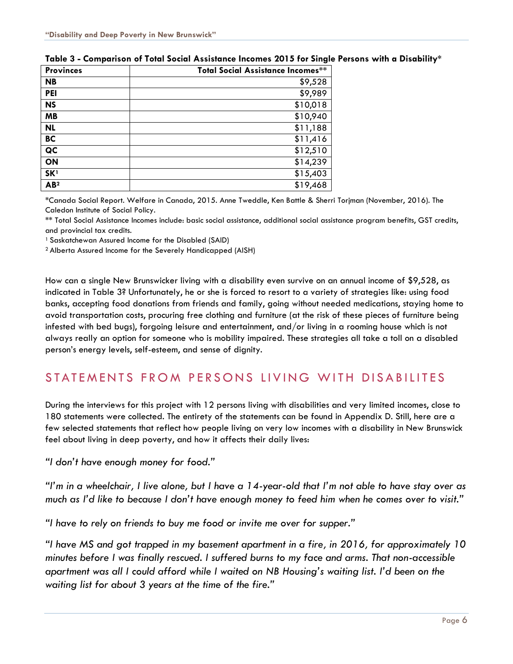| <b>Provinces</b> | Total Social Assistance Incomes** |
|------------------|-----------------------------------|
| <b>NB</b>        | \$9,528                           |
| <b>PEI</b>       | \$9,989                           |
| <b>NS</b>        | \$10,018                          |
| <b>MB</b>        | \$10,940                          |
| <b>NL</b>        | \$11,188                          |
| <b>BC</b>        | \$11,416                          |
| QC               | \$12,510                          |
| ON               | \$14,239                          |
| SK <sup>1</sup>  | \$15,403                          |
| AB <sup>2</sup>  | \$19,468                          |

#### **Table 3 - Comparison of Total Social Assistance Incomes 2015 for Single Persons with a Disability\***

\*Canada Social Report. Welfare in Canada, 2015. Anne Tweddle, Ken Battle & Sherri Torjman (November, 2016). The Caledon Institute of Social Policy.

\*\* Total Social Assistance Incomes include: basic social assistance, additional social assistance program benefits, GST credits, and provincial tax credits.

<sup>1</sup> Saskatchewan Assured Income for the Disabled (SAID)

<sup>2</sup>Alberta Assured Income for the Severely Handicapped (AISH)

How can a single New Brunswicker living with a disability even survive on an annual income of \$9,528, as indicated in Table 3? Unfortunately, he or she is forced to resort to a variety of strategies like: using food banks, accepting food donations from friends and family, going without needed medications, staying home to avoid transportation costs, procuring free clothing and furniture (at the risk of these pieces of furniture being infested with bed bugs), forgoing leisure and entertainment, and/or living in a rooming house which is not always really an option for someone who is mobility impaired. These strategies all take a toll on a disabled person's energy levels, self-esteem, and sense of dignity.

## STATEMENTS FROM PERSONS LIVING WITH DISABILITES

During the interviews for this project with 12 persons living with disabilities and very limited incomes, close to 180 statements were collected. The entirety of the statements can be found in Appendix D. Still, here are a few selected statements that reflect how people living on very low incomes with a disability in New Brunswick feel about living in deep poverty, and how it affects their daily lives:

*"I don't have enough money for food."*

*"I'm in a wheelchair, I live alone, but I have a 14-year-old that I'm not able to have stay over as much as I'd like to because I don't have enough money to feed him when he comes over to visit."*

*"I have to rely on friends to buy me food or invite me over for supper."*

*"I have MS and got trapped in my basement apartment in a fire, in 2016, for approximately 10 minutes before I was finally rescued. I suffered burns to my face and arms. That non-accessible apartment was all I could afford while I waited on NB Housing's waiting list. I'd been on the waiting list for about 3 years at the time of the fire."*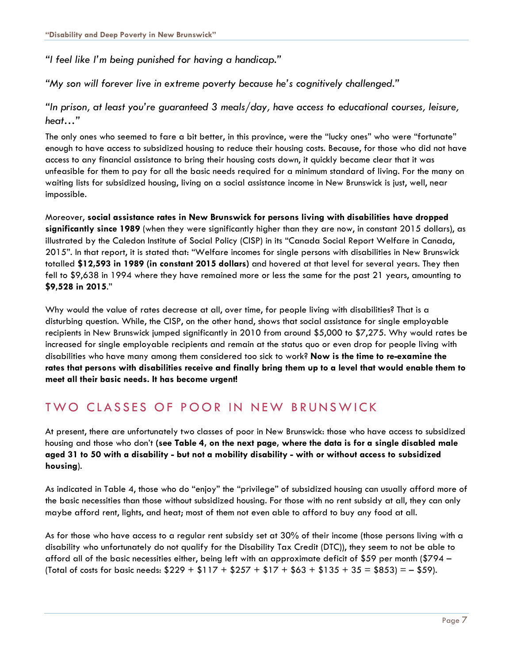*"I feel like I'm being punished for having a handicap."*

*"My son will forever live in extreme poverty because he's cognitively challenged."*

*"In prison, at least you're guaranteed 3 meals/day, have access to educational courses, leisure, heat…"*

The only ones who seemed to fare a bit better, in this province, were the "lucky ones" who were "fortunate" enough to have access to subsidized housing to reduce their housing costs. Because, for those who did not have access to any financial assistance to bring their housing costs down, it quickly became clear that it was unfeasible for them to pay for all the basic needs required for a minimum standard of living. For the many on waiting lists for subsidized housing, living on a social assistance income in New Brunswick is just, well, near impossible.

Moreover, **social assistance rates in New Brunswick for persons living with disabilities have dropped significantly since 1989** (when they were significantly higher than they are now, in constant 2015 dollars), as illustrated by the Caledon Institute of Social Policy (CISP) in its "Canada Social Report Welfare in Canada, 2015". In that report, it is stated that: "Welfare incomes for single persons with disabilities in New Brunswick totalled **\$12,593 in 1989 (in constant 2015 dollars)** and hovered at that level for several years. They then fell to \$9,638 in 1994 where they have remained more or less the same for the past 21 years, amounting to **\$9,528 in 2015**."

Why would the value of rates decrease at all, over time, for people living with disabilities? That is a disturbing question. While, the CISP, on the other hand, shows that social assistance for single employable recipients in New Brunswick jumped significantly in 2010 from around \$5,000 to \$7,275. Why would rates be increased for single employable recipients and remain at the status quo or even drop for people living with disabilities who have many among them considered too sick to work? **Now is the time to re-examine the rates that persons with disabilities receive and finally bring them up to a level that would enable them to meet all their basic needs. It has become urgent!**

## TWO CLASSES OF POOR IN NEW BRUNSWICK

At present, there are unfortunately two classes of poor in New Brunswick: those who have access to subsidized housing and those who don't **(see Table 4, on the next page, where the data is for a single disabled male aged 31 to 50 with a disability - but not a mobility disability - with or without access to subsidized housing**).

As indicated in Table 4, those who do "enjoy" the "privilege" of subsidized housing can usually afford more of the basic necessities than those without subsidized housing. For those with no rent subsidy at all, they can only maybe afford rent, lights, and heat; most of them not even able to afford to buy any food at all.

As for those who have access to a regular rent subsidy set at 30% of their income (those persons living with a disability who unfortunately do not qualify for the Disability Tax Credit (DTC)), they seem to not be able to afford all of the basic necessities either, being left with an approximate deficit of \$59 per month (\$794 – (Total of costs for basic needs:  $$229 + $117 + $257 + $17 + $63 + $135 + 35 = $853$ ) = - \$59).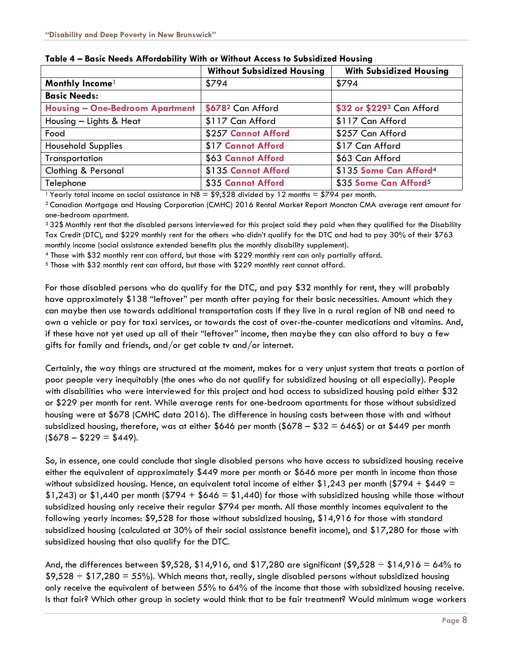|                                        | <b>Without Subsidized Housing</b> | <b>With Subsidized Housing</b>     |
|----------------------------------------|-----------------------------------|------------------------------------|
| Monthly Income <sup>1</sup>            | \$794                             | \$794                              |
| <b>Basic Needs:</b>                    |                                   |                                    |
| <b>Housing - One-Bedroom Apartment</b> | \$678 <sup>2</sup> Can Afford     | \$32 or \$2293 Can Afford          |
| Housing - Lights & Heat                | \$117 Can Afford                  | \$117 Can Afford                   |
| Food                                   | \$257 Cannot Afford               | \$257 Can Afford                   |
| <b>Household Supplies</b>              | \$17 Cannot Afford                | \$17 Can Afford                    |
| Transportation                         | \$63 Cannot Afford                | \$63 Can Afford                    |
| Clothing & Personal                    | \$135 Cannot Afford               | \$135 Some Can Afford <sup>4</sup> |
| Telephone                              | \$35 Cannot Afford                | \$35 Some Can Afford <sup>5</sup>  |

<sup>1</sup> Yearly total income on social assistance in NB =  $$9,528$  divided by 12 months =  $$794$  per month.

<sup>2</sup> Canadian Mortgage and Housing Corporation (CMHC) 2016 Rental Market Report Moncton CMA average rent amount for one-bedroom apartment.

3 32\$ Monthly rent that the disabled persons interviewed for this project said they paid when they qualified for the Disability Tax Credit (DTC), and \$229 monthly rent for the others who didn't qualify for the DTC and had to pay 30% of their \$763 monthly income (social assistance extended benefits plus the monthly disability supplement).

<sup>4</sup> Those with \$32 monthly rent can afford, but those with \$229 monthly rent can only partially afford.

<sup>5</sup> Those with \$32 monthly rent can afford, but those with \$229 monthly rent cannot afford.

For those disabled persons who do qualify for the DTC, and pay \$32 monthly for rent, they will probably have approximately \$138 "leftover" per month after paying for their basic necessities. Amount which they can maybe then use towards additional transportation costs if they live in a rural region of NB and need to own a vehicle or pay for taxi services, or towards the cost of over-the-counter medications and vitamins. And, if these have not yet used up all of their "leftover" income, then maybe they can also afford to buy a few gifts for family and friends, and/or get cable tv and/or internet.

Certainly, the way things are structured at the moment, makes for a very unjust system that treats a portion of poor people very inequitably (the ones who do not qualify for subsidized housing at all especially). People with disabilities who were interviewed for this project and had access to subsidized housing paid either \$32 or \$229 per month for rent. While average rents for one-bedroom apartments for those without subsidized housing were at \$678 (CMHC data 2016). The difference in housing costs between those with and without subsidized housing, therefore, was at either \$646 per month (\$678 – \$32 = 646\$) or at \$449 per month  $($678 - $229 = $449).$ 

So, in essence, one could conclude that single disabled persons who have access to subsidized housing receive either the equivalent of approximately \$449 more per month or \$646 more per month in income than those without subsidized housing. Hence, an equivalent total income of either \$1,243 per month (\$794 + \$449 = \$1,243) or \$1,440 per month (\$794 + \$646 = \$1,440) for those with subsidized housing while those without subsidized housing only receive their regular \$794 per month. All those monthly incomes equivalent to the following yearly incomes: \$9,528 for those without subsidized housing, \$14,916 for those with standard subsidized housing (calculated at 30% of their social assistance benefit income), and \$17,280 for those with subsidized housing that also qualify for the DTC.

And, the differences between \$9,528, \$14,916, and \$17,280 are significant (\$9,528  $\div$  \$14,916 = 64% to  $$9,528 \div $17,280 = 55\%$ ). Which means that, really, single disabled persons without subsidized housing only receive the equivalent of between 55% to 64% of the income that those with subsidized housing receive. Is that fair? Which other group in society would think that to be fair treatment? Would minimum wage workers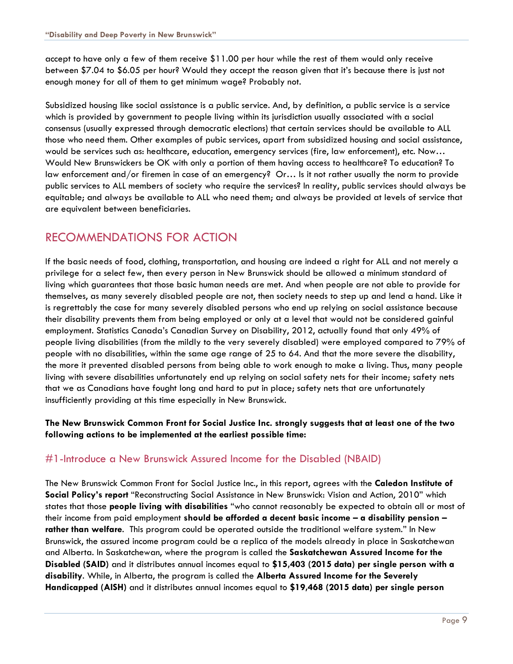accept to have only a few of them receive \$11.00 per hour while the rest of them would only receive between \$7.04 to \$6.05 per hour? Would they accept the reason given that it's because there is just not enough money for all of them to get minimum wage? Probably not.

Subsidized housing like social assistance is a public service. And, by definition, a public service is a [service](https://en.wikipedia.org/wiki/Service_(economics)) which is provided by [government](https://en.wikipedia.org/wiki/Government) to people living within its jurisdiction usually associated with a social consensus (usually expressed through [democratic elections\)](https://en.wikipedia.org/wiki/Democratic_election) that certain services should be available to ALL those who need them. Other examples of pubic services, apart from subsidized housing and social assistance, would be services such as: healthcare, education, emergency services (fire, law enforcement), etc. Now… Would New Brunswickers be OK with only a portion of them having access to healthcare? To education? To law enforcement and/or firemen in case of an emergency? Or… Is it not rather usually the norm to provide public services to ALL members of society who require the services? In reality, public services should always be equitable; and always be available to ALL who need them; and always be provided at levels of service that are equivalent between beneficiaries.

## RECOMMENDATIONS FOR ACTION

If the basic needs of food, clothing, transportation, and housing are indeed a right for ALL and not merely a privilege for a select few, then every person in New Brunswick should be allowed a minimum standard of living which guarantees that those basic human needs are met. And when people are not able to provide for themselves, as many severely disabled people are not, then society needs to step up and lend a hand. Like it is regrettably the case for many severely disabled persons who end up relying on social assistance because their disability prevents them from being employed or only at a level that would not be considered gainful employment. Statistics Canada's Canadian Survey on Disability, 2012, actually found that only 49% of people living disabilities (from the mildly to the very severely disabled) were employed compared to 79% of people with no disabilities, within the same age range of 25 to 64. And that the more severe the disability, the more it prevented disabled persons from being able to work enough to make a living. Thus, many people living with severe disabilities unfortunately end up relying on social safety nets for their income; safety nets that we as Canadians have fought long and hard to put in place; safety nets that are unfortunately insufficiently providing at this time especially in New Brunswick.

#### **The New Brunswick Common Front for Social Justice Inc. strongly suggests that at least one of the two following actions to be implemented at the earliest possible time:**

### #1-Introduce a New Brunswick Assured Income for the Disabled (NBAID)

The New Brunswick Common Front for Social Justice Inc., in this report, agrees with the **Caledon Institute of Social Policy's report** "Reconstructing Social Assistance in New Brunswick: Vision and Action, 2010" which states that those **people living with disabilities** "who cannot reasonably be expected to obtain all or most of their income from paid employment **should be afforded a decent basic income – a disability pension – rather than welfare**. This program could be operated outside the traditional welfare system." In New Brunswick, the assured income program could be a replica of the models already in place in Saskatchewan and Alberta. In Saskatchewan, where the program is called the **Saskatchewan Assured Income for the Disabled (SAID)** and it distributes annual incomes equal to **\$15,403 (2015 data) per single person with a disability**. While, in Alberta, the program is called the **Alberta Assured Income for the Severely Handicapped (AISH)** and it distributes annual incomes equal to **\$19,468 (2015 data) per single person**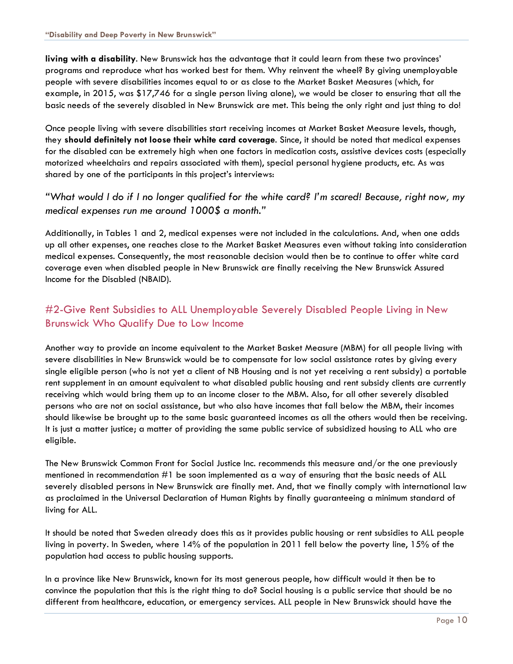**living with a disability**. New Brunswick has the advantage that it could learn from these two provinces' programs and reproduce what has worked best for them. Why reinvent the wheel? By giving unemployable people with severe disabilities incomes equal to or as close to the Market Basket Measures (which, for example, in 2015, was \$17,746 for a single person living alone), we would be closer to ensuring that all the basic needs of the severely disabled in New Brunswick are met. This being the only right and just thing to do!

Once people living with severe disabilities start receiving incomes at Market Basket Measure levels, though, they **should definitely not loose their white card coverage**. Since, it should be noted that medical expenses for the disabled can be extremely high when one factors in medication costs, assistive devices costs (especially motorized wheelchairs and repairs associated with them), special personal hygiene products, etc. As was shared by one of the participants in this project's interviews:

#### *"What would I do if I no longer qualified for the white card? I'm scared! Because, right now, my medical expenses run me around 1000\$ a month."*

Additionally, in Tables 1 and 2, medical expenses were not included in the calculations. And, when one adds up all other expenses, one reaches close to the Market Basket Measures even without taking into consideration medical expenses. Consequently, the most reasonable decision would then be to continue to offer white card coverage even when disabled people in New Brunswick are finally receiving the New Brunswick Assured Income for the Disabled (NBAID).

## #2-Give Rent Subsidies to ALL Unemployable Severely Disabled People Living in New Brunswick Who Qualify Due to Low Income

Another way to provide an income equivalent to the Market Basket Measure (MBM) for all people living with severe disabilities in New Brunswick would be to compensate for low social assistance rates by giving every single eligible person (who is not yet a client of NB Housing and is not yet receiving a rent subsidy) a portable rent supplement in an amount equivalent to what disabled public housing and rent subsidy clients are currently receiving which would bring them up to an income closer to the MBM. Also, for all other severely disabled persons who are not on social assistance, but who also have incomes that fall below the MBM, their incomes should likewise be brought up to the same basic guaranteed incomes as all the others would then be receiving. It is just a matter justice; a matter of providing the same public service of subsidized housing to ALL who are eligible.

The New Brunswick Common Front for Social Justice Inc. recommends this measure and/or the one previously mentioned in recommendation #1 be soon implemented as a way of ensuring that the basic needs of ALL severely disabled persons in New Brunswick are finally met. And, that we finally comply with international law as proclaimed in the Universal Declaration of Human Rights by finally guaranteeing a minimum standard of living for ALL.

It should be noted that Sweden already does this as it provides public housing or rent subsidies to ALL people living in poverty. In Sweden, where 14% of the population in 2011 fell below the poverty line, 15% of the population had access to public housing supports.

In a province like New Brunswick, known for its most generous people, how difficult would it then be to convince the population that this is the right thing to do? Social housing is a public service that should be no different from healthcare, education, or emergency services. ALL people in New Brunswick should have the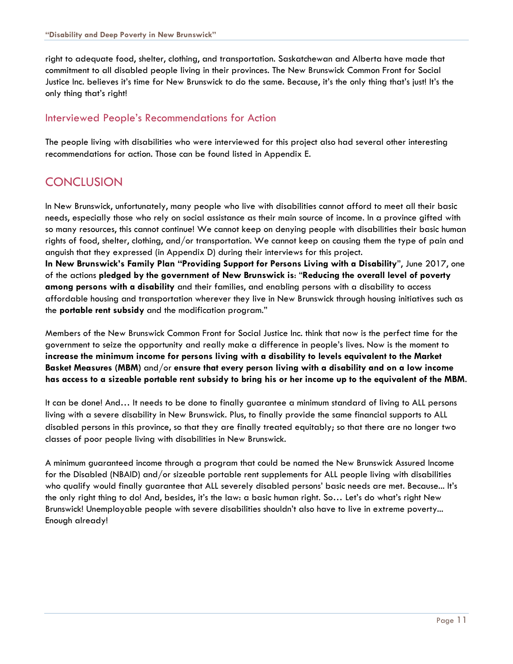right to adequate food, shelter, clothing, and transportation. Saskatchewan and Alberta have made that commitment to all disabled people living in their provinces. The New Brunswick Common Front for Social Justice Inc. believes it's time for New Brunswick to do the same. Because, it's the only thing that's just! It's the only thing that's right!

#### Interviewed People's Recommendations for Action

The people living with disabilities who were interviewed for this project also had several other interesting recommendations for action. Those can be found listed in Appendix E.

## **CONCLUSION**

In New Brunswick, unfortunately, many people who live with disabilities cannot afford to meet all their basic needs, especially those who rely on social assistance as their main source of income. In a province gifted with so many resources, this cannot continue! We cannot keep on denying people with disabilities their basic human rights of food, shelter, clothing, and/or transportation. We cannot keep on causing them the type of pain and anguish that they expressed (in Appendix D) during their interviews for this project. **In New Brunswick's Family Plan "Providing Support for Persons Living with a Disability**", June 2017, one of the actions **pledged by the government of New Brunswick is**: "**Reducing the overall level of poverty among persons with a disability** and their families, and enabling persons with a disability to access affordable housing and transportation wherever they live in New Brunswick through housing initiatives such as the **portable rent subsidy** and the modification program."

Members of the New Brunswick Common Front for Social Justice Inc. think that now is the perfect time for the government to seize the opportunity and really make a difference in people's lives. Now is the moment to **increase the minimum income for persons living with a disability to levels equivalent to the Market Basket Measures (MBM)** and/or **ensure that every person living with a disability and on a low income has access to a sizeable portable rent subsidy to bring his or her income up to the equivalent of the MBM**.

It can be done! And… It needs to be done to finally guarantee a minimum standard of living to ALL persons living with a severe disability in New Brunswick. Plus, to finally provide the same financial supports to ALL disabled persons in this province, so that they are finally treated equitably; so that there are no longer two classes of poor people living with disabilities in New Brunswick.

A minimum guaranteed income through a program that could be named the New Brunswick Assured Income for the Disabled (NBAID) and/or sizeable portable rent supplements for ALL people living with disabilities who qualify would finally guarantee that ALL severely disabled persons' basic needs are met. Because... It's the only right thing to do! And, besides, it's the law: a basic human right. So… Let's do what's right New Brunswick! Unemployable people with severe disabilities shouldn't also have to live in extreme poverty... Enough already!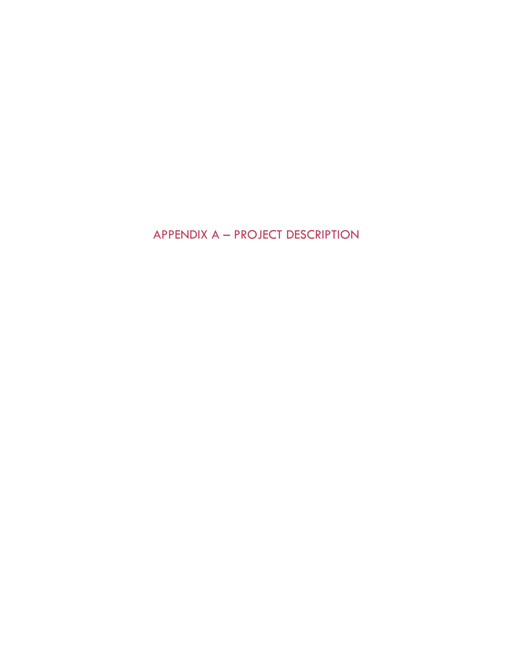APPENDIX A – PROJECT DESCRIPTION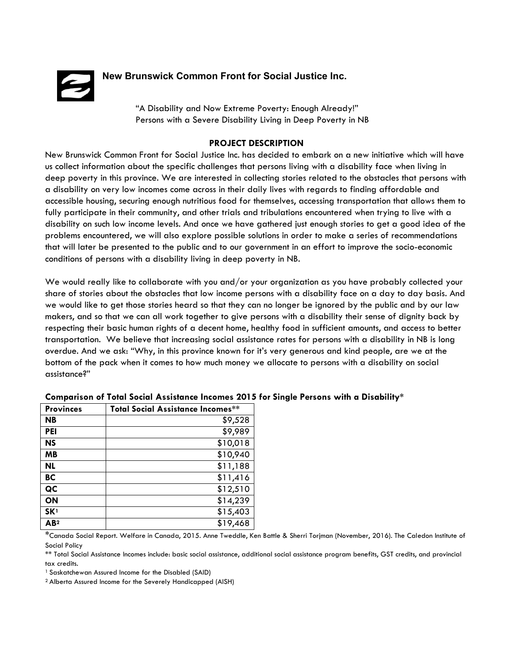

#### **New Brunswick Common Front for Social Justice Inc.**

 "A Disability and Now Extreme Poverty: Enough Already!" Persons with a Severe Disability Living in Deep Poverty in NB

#### **PROJECT DESCRIPTION**

New Brunswick Common Front for Social Justice Inc. has decided to embark on a new initiative which will have us collect information about the specific challenges that persons living with a disability face when living in deep poverty in this province. We are interested in collecting stories related to the obstacles that persons with a disability on very low incomes come across in their daily lives with regards to finding affordable and accessible housing, securing enough nutritious food for themselves, accessing transportation that allows them to fully participate in their community, and other trials and tribulations encountered when trying to live with a disability on such low income levels. And once we have gathered just enough stories to get a good idea of the problems encountered, we will also explore possible solutions in order to make a series of recommendations that will later be presented to the public and to our government in an effort to improve the socio-economic conditions of persons with a disability living in deep poverty in NB.

We would really like to collaborate with you and/or your organization as you have probably collected your share of stories about the obstacles that low income persons with a disability face on a day to day basis. And we would like to get those stories heard so that they can no longer be ignored by the public and by our law makers, and so that we can all work together to give persons with a disability their sense of dignity back by respecting their basic human rights of a decent home, healthy food in sufficient amounts, and access to better transportation. We believe that increasing social assistance rates for persons with a disability in NB is long overdue. And we ask: "Why, in this province known for it's very generous and kind people, are we at the bottom of the pack when it comes to how much money we allocate to persons with a disability on social assistance?"

| <b>Provinces</b> | <b>Total Social Assistance Incomes**</b> |
|------------------|------------------------------------------|
| <b>NB</b>        | \$9,528                                  |
| <b>PEI</b>       | \$9,989                                  |
| <b>NS</b>        | \$10,018                                 |
| <b>MB</b>        | \$10,940                                 |
| <b>NL</b>        | \$11,188                                 |
| BC               | \$11,416                                 |
| QC               | \$12,510                                 |
| ON               | \$14,239                                 |
| SK <sup>1</sup>  | \$15,403                                 |
| AB <sup>2</sup>  | \$19,468                                 |

#### **Comparison of Total Social Assistance Incomes 2015 for Single Persons with a Disability\***

\*Canada Social Report. Welfare in Canada, 2015. Anne Tweddle, Ken Battle & Sherri Torjman (November, 2016). The Caledon Institute of Social Policy

\*\* Total Social Assistance Incomes include: basic social assistance, additional social assistance program benefits, GST credits, and provincial tax credits.

<sup>1</sup> Saskatchewan Assured Income for the Disabled (SAID)

2 Alberta Assured Income for the Severely Handicapped (AISH)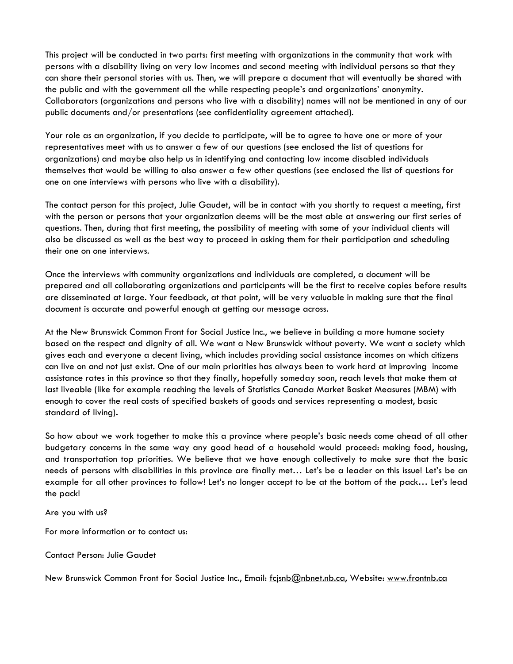This project will be conducted in two parts: first meeting with organizations in the community that work with persons with a disability living on very low incomes and second meeting with individual persons so that they can share their personal stories with us. Then, we will prepare a document that will eventually be shared with the public and with the government all the while respecting people's and organizations' anonymity. Collaborators (organizations and persons who live with a disability) names will not be mentioned in any of our public documents and/or presentations (see confidentiality agreement attached).

Your role as an organization, if you decide to participate, will be to agree to have one or more of your representatives meet with us to answer a few of our questions (see enclosed the list of questions for organizations) and maybe also help us in identifying and contacting low income disabled individuals themselves that would be willing to also answer a few other questions (see enclosed the list of questions for one on one interviews with persons who live with a disability).

The contact person for this project, Julie Gaudet, will be in contact with you shortly to request a meeting, first with the person or persons that your organization deems will be the most able at answering our first series of questions. Then, during that first meeting, the possibility of meeting with some of your individual clients will also be discussed as well as the best way to proceed in asking them for their participation and scheduling their one on one interviews.

Once the interviews with community organizations and individuals are completed, a document will be prepared and all collaborating organizations and participants will be the first to receive copies before results are disseminated at large. Your feedback, at that point, will be very valuable in making sure that the final document is accurate and powerful enough at getting our message across.

At the New Brunswick Common Front for Social Justice Inc., we believe in building a more humane society based on the respect and dignity of all. We want a New Brunswick without poverty. We want a society which gives each and everyone a decent living, which includes providing social assistance incomes on which citizens can live on and not just exist. One of our main priorities has always been to work hard at improving income assistance rates in this province so that they finally, hopefully someday soon, reach levels that make them at last liveable (like for example reaching the levels of Statistics Canada Market Basket Measures (MBM) with enough to cover the real costs of specified baskets of goods and services representing a modest, basic standard of living)**.** 

So how about we work together to make this a province where people's basic needs come ahead of all other budgetary concerns in the same way any good head of a household would proceed: making food, housing, and transportation top priorities. We believe that we have enough collectively to make sure that the basic needs of persons with disabilities in this province are finally met… Let's be a leader on this issue! Let's be an example for all other provinces to follow! Let's no longer accept to be at the bottom of the pack… Let's lead the pack!

Are you with us?

For more information or to contact us:

Contact Person: Julie Gaudet

New Brunswick Common Front for Social Justice Inc., Email: [fcjsnb@nbnet.nb.ca,](mailto:fcjsnb@nbnet.nb.ca) Website: [www.frontnb.ca](http://www.frontnb.ca/)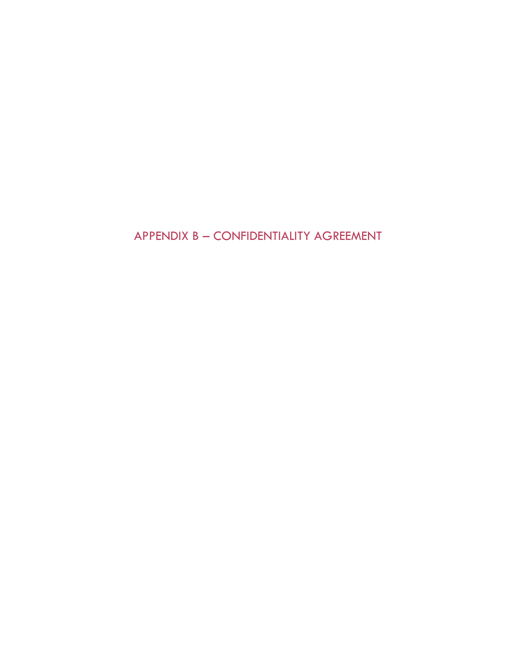APPENDIX B – CONFIDENTIALITY AGREEMENT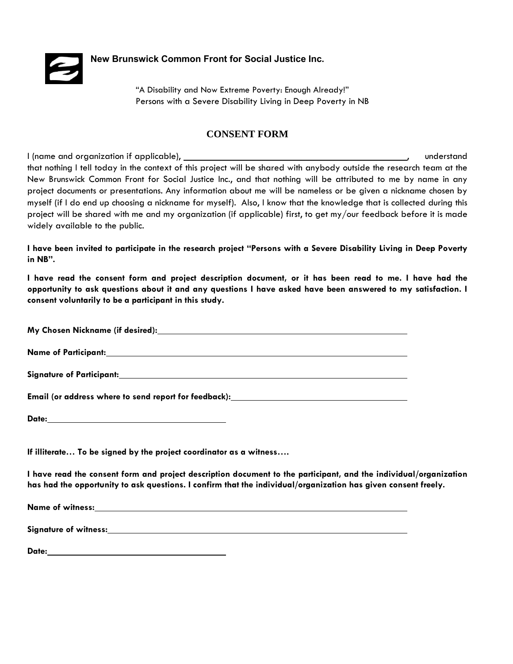

**New Brunswick Common Front for Social Justice Inc.**

 "A Disability and Now Extreme Poverty: Enough Already!" Persons with a Severe Disability Living in Deep Poverty in NB

#### **CONSENT FORM**

I (name and organization if applicable), **the contract of the contract of the contract of the contract of the contract of the contract of the contract of the contract of the contract of the contract of the contract of the** that nothing I tell today in the context of this project will be shared with anybody outside the research team at the New Brunswick Common Front for Social Justice Inc., and that nothing will be attributed to me by name in any project documents or presentations. Any information about me will be nameless or be given a nickname chosen by myself (if I do end up choosing a nickname for myself). Also, I know that the knowledge that is collected during this project will be shared with me and my organization (if applicable) first, to get my/our feedback before it is made widely available to the public.

**I have been invited to participate in the research project "Persons with a Severe Disability Living in Deep Poverty in NB".** 

**I have read the consent form and project description document, or it has been read to me. I have had the opportunity to ask questions about it and any questions I have asked have been answered to my satisfaction. I consent voluntarily to be a participant in this study.**

**My Chosen Nickname (if desired):**

**Name of Participant:**

**Signature of Participant:**

**Email (or address where to send report for feedback):**

**Date:**

**If illiterate… To be signed by the project coordinator as a witness….** 

**I have read the consent form and project description document to the participant, and the individual/organization has had the opportunity to ask questions. I confirm that the individual/organization has given consent freely.** 

**Name of witness:**

**Signature of witness:**

**Date:**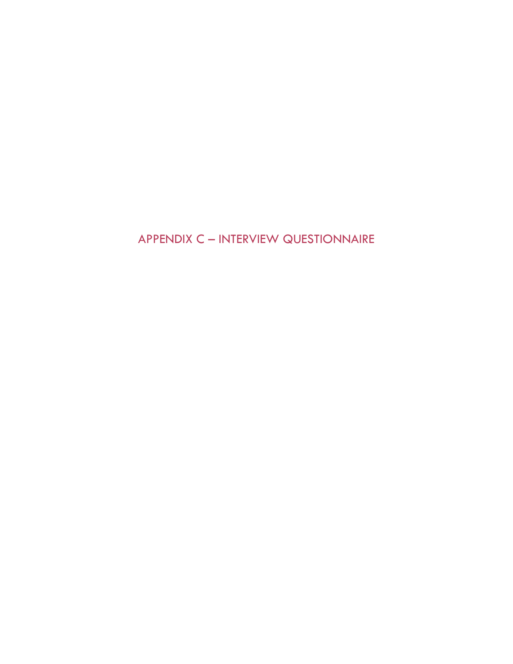APPENDIX C – INTERVIEW QUESTIONNAIRE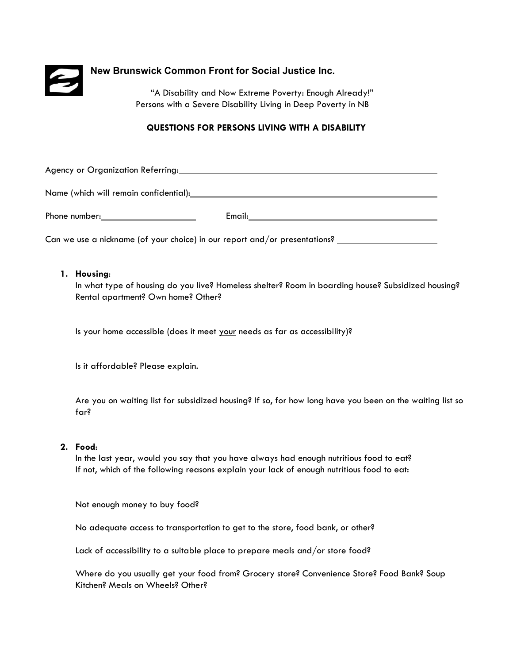

#### **New Brunswick Common Front for Social Justice Inc.**

"A Disability and Now Extreme Poverty: Enough Already!" Persons with a Severe Disability Living in Deep Poverty in NB

#### **QUESTIONS FOR PERSONS LIVING WITH A DISABILITY**

Agency or Organization Referring:

Name (which will remain confidential): Name (which will remain confidential):

Phone number: Email:

Can we use a nickname (of your choice) in our report and/or presentations?

#### **1. Housing**:

In what type of housing do you live? Homeless shelter? Room in boarding house? Subsidized housing? Rental apartment? Own home? Other?

Is your home accessible (does it meet your needs as far as accessibility)?

Is it affordable? Please explain.

Are you on waiting list for subsidized housing? If so, for how long have you been on the waiting list so far?

#### **2. Food**:

In the last year, would you say that you have always had enough nutritious food to eat? If not, which of the following reasons explain your lack of enough nutritious food to eat:

Not enough money to buy food?

No adequate access to transportation to get to the store, food bank, or other?

Lack of accessibility to a suitable place to prepare meals and/or store food?

Where do you usually get your food from? Grocery store? Convenience Store? Food Bank? Soup Kitchen? Meals on Wheels? Other?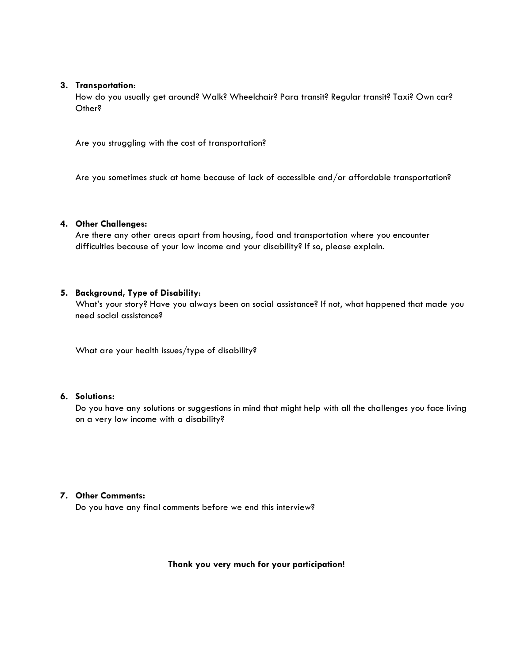#### **3. Transportation**:

How do you usually get around? Walk? Wheelchair? Para transit? Regular transit? Taxi? Own car? Other?

Are you struggling with the cost of transportation?

Are you sometimes stuck at home because of lack of accessible and/or affordable transportation?

#### **4. Other Challenges:**

Are there any other areas apart from housing, food and transportation where you encounter difficulties because of your low income and your disability? If so, please explain.

#### **5. Background, Type of Disability**:

What's your story? Have you always been on social assistance? If not, what happened that made you need social assistance?

What are your health issues/type of disability?

#### **6. Solutions:**

Do you have any solutions or suggestions in mind that might help with all the challenges you face living on a very low income with a disability?

#### **7. Other Comments:**

Do you have any final comments before we end this interview?

**Thank you very much for your participation!**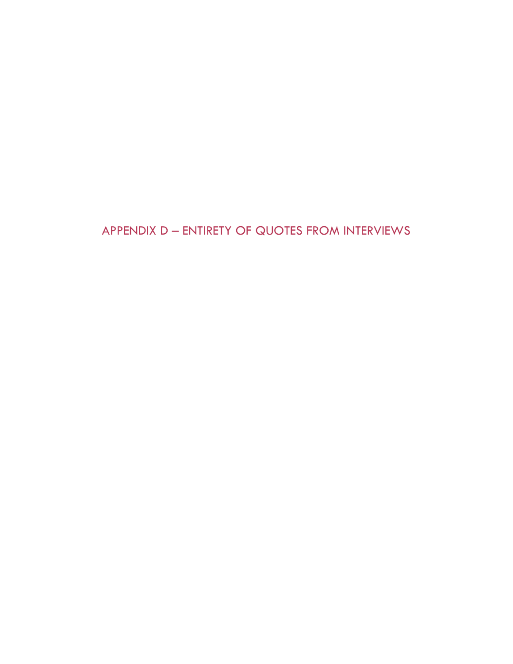APPENDIX D – ENTIRETY OF QUOTES FROM INTERVIEWS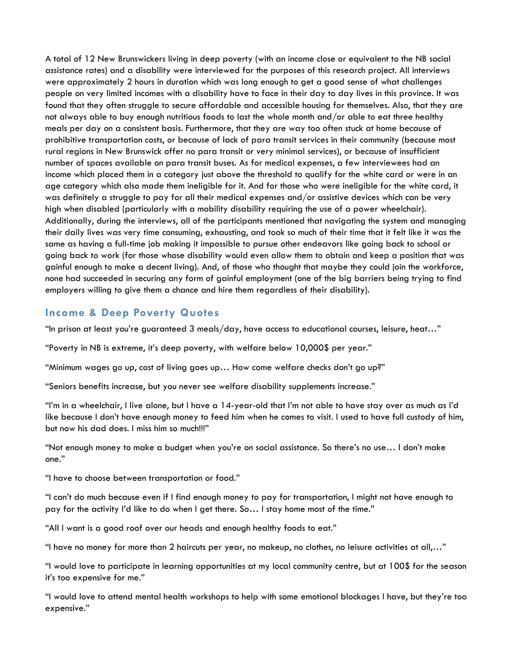A total of 12 New Brunswickers living in deep poverty (with an income close or equivalent to the NB social assistance rates) and a disability were interviewed for the purposes of this research project. All interviews were approximately 2 hours in duration which was long enough to get a good sense of what challenges people on very limited incomes with a disability have to face in their day to day lives in this province. It was found that they often struggle to secure affordable and accessible housing for themselves. Also, that they are not always able to buy enough nutritious foods to last the whole month and/or able to eat three healthy meals per day on a consistent basis. Furthermore, that they are way too often stuck at home because of prohibitive transportation costs, or because of lack of para transit services in their community (because most rural regions in New Brunswick offer no para transit or very minimal services), or because of insufficient number of spaces available on para transit buses. As for medical expenses, a few interviewees had an income which placed them in a category just above the threshold to qualify for the white card or were in an age category which also made them ineligible for it. And for those who were ineligible for the white card, it was definitely a struggle to pay for all their medical expenses and/or assistive devices which can be very high when disabled (particularly with a mobility disability requiring the use of a power wheelchair). Additionally, during the interviews, all of the participants mentioned that navigating the system and managing their daily lives was very time consuming, exhausting, and took so much of their time that it felt like it was the same as having a full-time job making it impossible to pursue other endeavors like going back to school or going back to work (for those whose disability would even allow them to obtain and keep a position that was gainful enough to make a decent living). And, of those who thought that maybe they could join the workforce, none had succeeded in securing any form of gainful employment (one of the big barriers being trying to find employers willing to give them a chance and hire them regardless of their disability).

#### **Income & Deep Poverty Quotes**

"In prison at least you're guaranteed 3 meals/day, have access to educational courses, leisure, heat…"

"Poverty in NB is extreme, it's deep poverty, with welfare below 10,000\$ per year."

"Minimum wages go up, cost of living goes up… How come welfare checks don't go up?"

"Seniors benefits increase, but you never see welfare disability supplements increase."

"I'm in a wheelchair, I live alone, but I have a 14-year-old that I'm not able to have stay over as much as I'd like because I don't have enough money to feed him when he comes to visit. I used to have full custody of him, but now his dad does. I miss him so much!!!"

"Not enough money to make a budget when you're on social assistance. So there's no use… I don't make one."

"I have to choose between transportation or food."

"I can't do much because even if I find enough money to pay for transportation, I might not have enough to pay for the activity I'd like to do when I get there. So… I stay home most of the time."

"All I want is a good roof over our heads and enough healthy foods to eat."

"I have no money for more than 2 haircuts per year, no makeup, no clothes, no leisure activities at all,..."

"I would love to participate in learning opportunities at my local community centre, but at 100\$ for the season it's too expensive for me."

"I would love to attend mental health workshops to help with some emotional blockages I have, but they're too expensive."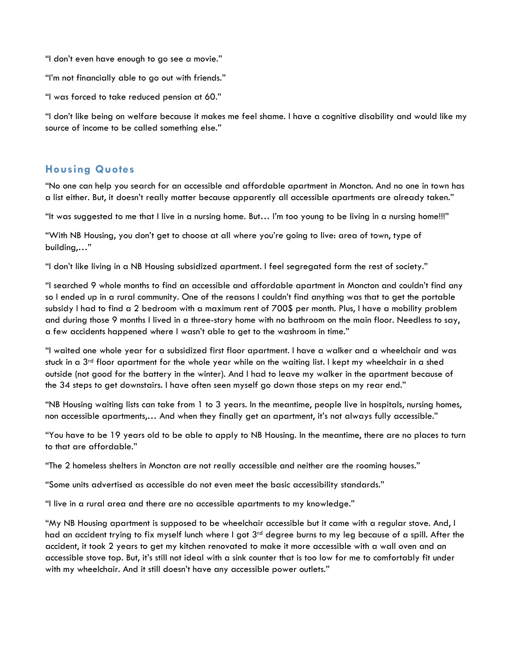"I don't even have enough to go see a movie."

"I'm not financially able to go out with friends."

"I was forced to take reduced pension at 60."

"I don't like being on welfare because it makes me feel shame. I have a cognitive disability and would like my source of income to be called something else."

#### **Housing Quotes**

"No one can help you search for an accessible and affordable apartment in Moncton. And no one in town has a list either. But, it doesn't really matter because apparently all accessible apartments are already taken."

"It was suggested to me that I live in a nursing home. But… I'm too young to be living in a nursing home!!!"

"With NB Housing, you don't get to choose at all where you're going to live: area of town, type of building,…"

"I don't like living in a NB Housing subsidized apartment. I feel segregated form the rest of society."

"I searched 9 whole months to find an accessible and affordable apartment in Moncton and couldn't find any so I ended up in a rural community. One of the reasons I couldn't find anything was that to get the portable subsidy I had to find a 2 bedroom with a maximum rent of 700\$ per month. Plus, I have a mobility problem and during those 9 months I lived in a three-story home with no bathroom on the main floor. Needless to say, a few accidents happened where I wasn't able to get to the washroom in time."

"I waited one whole year for a subsidized first floor apartment. I have a walker and a wheelchair and was stuck in a 3<sup>rd</sup> floor apartment for the whole year while on the waiting list. I kept my wheelchair in a shed outside (not good for the battery in the winter). And I had to leave my walker in the apartment because of the 34 steps to get downstairs. I have often seen myself go down those steps on my rear end."

"NB Housing waiting lists can take from 1 to 3 years. In the meantime, people live in hospitals, nursing homes, non accessible apartments,… And when they finally get an apartment, it's not always fully accessible."

"You have to be 19 years old to be able to apply to NB Housing. In the meantime, there are no places to turn to that are affordable."

"The 2 homeless shelters in Moncton are not really accessible and neither are the rooming houses."

"Some units advertised as accessible do not even meet the basic accessibility standards."

"I live in a rural area and there are no accessible apartments to my knowledge."

"My NB Housing apartment is supposed to be wheelchair accessible but it came with a regular stove. And, I had an accident trying to fix myself lunch where I got 3<sup>rd</sup> degree burns to my leg because of a spill. After the accident, it took 2 years to get my kitchen renovated to make it more accessible with a wall oven and an accessible stove top. But, it's still not ideal with a sink counter that is too low for me to comfortably fit under with my wheelchair. And it still doesn't have any accessible power outlets."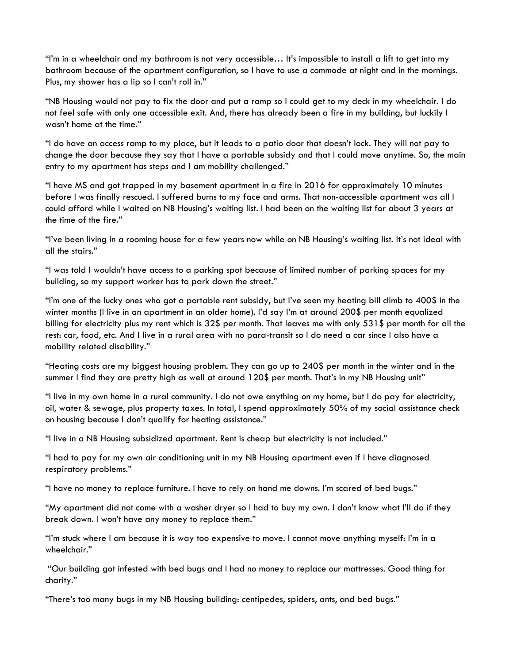"I'm in a wheelchair and my bathroom is not very accessible… It's impossible to install a lift to get into my bathroom because of the apartment configuration, so I have to use a commode at night and in the mornings. Plus, my shower has a lip so I can't roll in."

"NB Housing would not pay to fix the door and put a ramp so I could get to my deck in my wheelchair. I do not feel safe with only one accessible exit. And, there has already been a fire in my building, but luckily I wasn't home at the time."

"I do have an access ramp to my place, but it leads to a patio door that doesn't lock. They will not pay to change the door because they say that I have a portable subsidy and that I could move anytime. So, the main entry to my apartment has steps and I am mobility challenged."

"I have MS and got trapped in my basement apartment in a fire in 2016 for approximately 10 minutes before I was finally rescued. I suffered burns to my face and arms. That non-accessible apartment was all I could afford while I waited on NB Housing's waiting list. I had been on the waiting list for about 3 years at the time of the fire."

"I've been living in a rooming house for a few years now while on NB Housing's waiting list. It's not ideal with all the stairs."

"I was told I wouldn't have access to a parking spot because of limited number of parking spaces for my building, so my support worker has to park down the street."

"I'm one of the lucky ones who got a portable rent subsidy, but I've seen my heating bill climb to 400\$ in the winter months (I live in an apartment in an older home). I'd say I'm at around 200\$ per month equalized billing for electricity plus my rent which is 32\$ per month. That leaves me with only 531\$ per month for all the rest: car, food, etc. And I live in a rural area with no para-transit so I do need a car since I also have a mobility related disability."

"Heating costs are my biggest housing problem. They can go up to 240\$ per month in the winter and in the summer I find they are pretty high as well at around 120\$ per month. That's in my NB Housing unit"

"I live in my own home in a rural community. I do not owe anything on my home, but I do pay for electricity, oil, water & sewage, plus property taxes. In total, I spend approximately 50% of my social assistance check on housing because I don't qualify for heating assistance."

"I live in a NB Housing subsidized apartment. Rent is cheap but electricity is not included."

"I had to pay for my own air conditioning unit in my NB Housing apartment even if I have diagnosed respiratory problems."

"I have no money to replace furniture. I have to rely on hand me downs. I'm scared of bed bugs."

"My apartment did not come with a washer dryer so I had to buy my own. I don't know what I'll do if they break down. I won't have any money to replace them."

"I'm stuck where I am because it is way too expensive to move. I cannot move anything myself: I'm in a wheelchair."

"Our building got infested with bed bugs and I had no money to replace our mattresses. Good thing for charity."

"There's too many bugs in my NB Housing building: centipedes, spiders, ants, and bed bugs."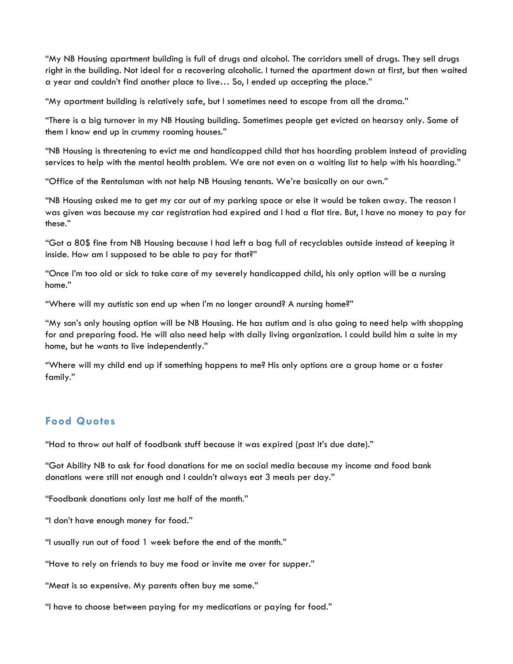"My NB Housing apartment building is full of drugs and alcohol. The corridors smell of drugs. They sell drugs right in the building. Not ideal for a recovering alcoholic. I turned the apartment down at first, but then waited a year and couldn't find another place to live… So, I ended up accepting the place."

"My apartment building is relatively safe, but I sometimes need to escape from all the drama."

"There is a big turnover in my NB Housing building. Sometimes people get evicted on hearsay only. Some of them I know end up in crummy rooming houses."

"NB Housing is threatening to evict me and handicapped child that has hoarding problem instead of providing services to help with the mental health problem. We are not even on a waiting list to help with his hoarding."

"Office of the Rentalsman with not help NB Housing tenants. We're basically on our own."

"NB Housing asked me to get my car out of my parking space or else it would be taken away. The reason I was given was because my car registration had expired and I had a flat tire. But, I have no money to pay for these."

"Got a 80\$ fine from NB Housing because I had left a bag full of recyclables outside instead of keeping it inside. How am I supposed to be able to pay for that?"

"Once I'm too old or sick to take care of my severely handicapped child, his only option will be a nursing home."

"Where will my autistic son end up when I'm no longer around? A nursing home?"

"My son's only housing option will be NB Housing. He has autism and is also going to need help with shopping for and preparing food. He will also need help with daily living organization. I could build him a suite in my home, but he wants to live independently."

"Where will my child end up if something happens to me? His only options are a group home or a foster family."

#### **Food Quotes**

"Had to throw out half of foodbank stuff because it was expired (past it's due date)."

"Got Ability NB to ask for food donations for me on social media because my income and food bank donations were still not enough and I couldn't always eat 3 meals per day."

"Foodbank donations only last me half of the month."

"I don't have enough money for food."

"I usually run out of food 1 week before the end of the month."

"Have to rely on friends to buy me food or invite me over for supper."

"Meat is so expensive. My parents often buy me some."

"I have to choose between paying for my medications or paying for food."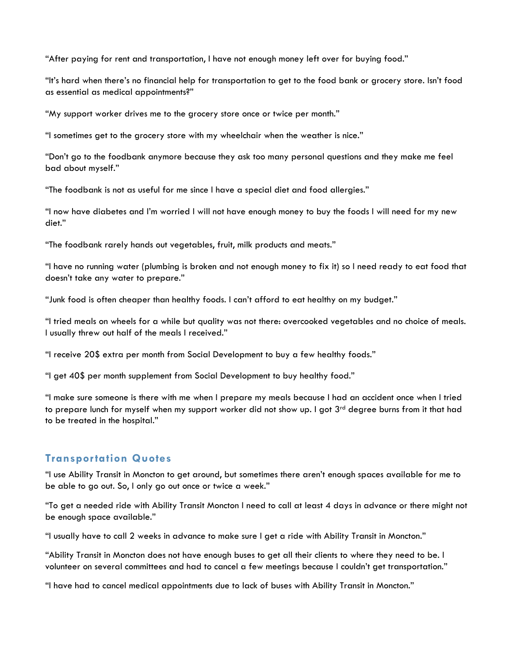"After paying for rent and transportation, I have not enough money left over for buying food."

"It's hard when there's no financial help for transportation to get to the food bank or grocery store. Isn't food as essential as medical appointments?"

"My support worker drives me to the grocery store once or twice per month."

"I sometimes get to the grocery store with my wheelchair when the weather is nice."

"Don't go to the foodbank anymore because they ask too many personal questions and they make me feel bad about myself."

"The foodbank is not as useful for me since I have a special diet and food allergies."

"I now have diabetes and I'm worried I will not have enough money to buy the foods I will need for my new diet."

"The foodbank rarely hands out vegetables, fruit, milk products and meats."

"I have no running water (plumbing is broken and not enough money to fix it) so I need ready to eat food that doesn't take any water to prepare."

"Junk food is often cheaper than healthy foods. I can't afford to eat healthy on my budget."

"I tried meals on wheels for a while but quality was not there: overcooked vegetables and no choice of meals. I usually threw out half of the meals I received."

"I receive 20\$ extra per month from Social Development to buy a few healthy foods."

"I get 40\$ per month supplement from Social Development to buy healthy food."

"I make sure someone is there with me when I prepare my meals because I had an accident once when I tried to prepare lunch for myself when my support worker did not show up. I got 3<sup>rd</sup> degree burns from it that had to be treated in the hospital."

#### **Transportation Quotes**

"I use Ability Transit in Moncton to get around, but sometimes there aren't enough spaces available for me to be able to go out. So, I only go out once or twice a week."

"To get a needed ride with Ability Transit Moncton I need to call at least 4 days in advance or there might not be enough space available."

"I usually have to call 2 weeks in advance to make sure I get a ride with Ability Transit in Moncton."

"Ability Transit in Moncton does not have enough buses to get all their clients to where they need to be. I volunteer on several committees and had to cancel a few meetings because I couldn't get transportation."

"I have had to cancel medical appointments due to lack of buses with Ability Transit in Moncton."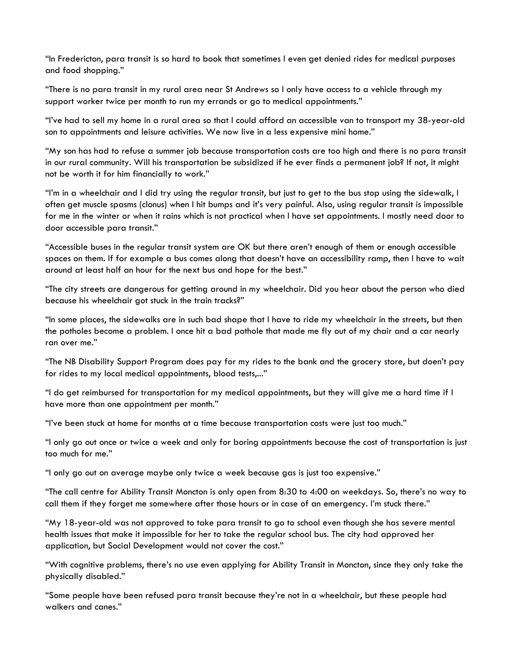"In Fredericton, para transit is so hard to book that sometimes I even get denied rides for medical purposes and food shopping."

"There is no para transit in my rural area near St Andrews so I only have access to a vehicle through my support worker twice per month to run my errands or go to medical appointments."

"I've had to sell my home in a rural area so that I could afford an accessible van to transport my 38-year-old son to appointments and leisure activities. We now live in a less expensive mini home."

"My son has had to refuse a summer job because transportation costs are too high and there is no para transit in our rural community. Will his transportation be subsidized if he ever finds a permanent job? If not, it might not be worth it for him financially to work."

"I'm in a wheelchair and I did try using the regular transit, but just to get to the bus stop using the sidewalk, I often get muscle spasms (clonus) when I hit bumps and it's very painful. Also, using regular transit is impossible for me in the winter or when it rains which is not practical when I have set appointments. I mostly need door to door accessible para transit."

"Accessible buses in the regular transit system are OK but there aren't enough of them or enough accessible spaces on them. If for example a bus comes along that doesn't have an accessibility ramp, then I have to wait around at least half an hour for the next bus and hope for the best."

"The city streets are dangerous for getting around in my wheelchair. Did you hear about the person who died because his wheelchair got stuck in the train tracks?"

"In some places, the sidewalks are in such bad shape that I have to ride my wheelchair in the streets, but then the potholes become a problem. I once hit a bad pothole that made me fly out of my chair and a car nearly ran over me."

"The NB Disability Support Program does pay for my rides to the bank and the grocery store, but doen't pay for rides to my local medical appointments, blood tests,..."

"I do get reimbursed for transportation for my medical appointments, but they will give me a hard time if I have more than one appointment per month."

"I've been stuck at home for months at a time because transportation costs were just too much."

"I only go out once or twice a week and only for boring appointments because the cost of transportation is just too much for me."

"I only go out on average maybe only twice a week because gas is just too expensive."

"The call centre for Ability Transit Moncton is only open from 8:30 to 4:00 on weekdays. So, there's no way to call them if they forget me somewhere after those hours or in case of an emergency. I'm stuck there."

"My 18-year-old was not approved to take para transit to go to school even though she has severe mental health issues that make it impossible for her to take the regular school bus. The city had approved her application, but Social Development would not cover the cost."

"With cognitive problems, there's no use even applying for Ability Transit in Moncton, since they only take the physically disabled."

"Some people have been refused para transit because they're not in a wheelchair, but these people had walkers and canes."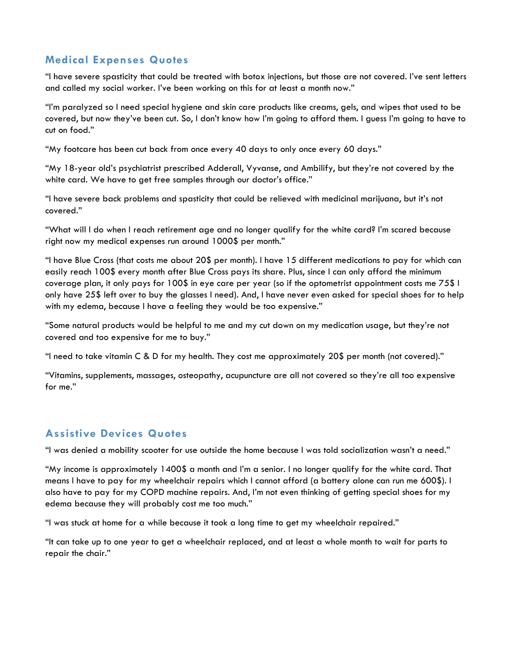#### **Medical Expenses Quotes**

"I have severe spasticity that could be treated with botox injections, but those are not covered. I've sent letters and called my social worker. I've been working on this for at least a month now."

"I'm paralyzed so I need special hygiene and skin care products like creams, gels, and wipes that used to be covered, but now they've been cut. So, I don't know how I'm going to afford them. I guess I'm going to have to cut on food."

"My footcare has been cut back from once every 40 days to only once every 60 days."

"My 18-year old's psychiatrist prescribed Adderall, Vyvanse, and Ambilify, but they're not covered by the white card. We have to get free samples through our doctor's office."

"I have severe back problems and spasticity that could be relieved with medicinal marijuana, but it's not covered."

"What will I do when I reach retirement age and no longer qualify for the white card? I'm scared because right now my medical expenses run around 1000\$ per month."

"I have Blue Cross (that costs me about 20\$ per month). I have 15 different medications to pay for which can easily reach 100\$ every month after Blue Cross pays its share. Plus, since I can only afford the minimum coverage plan, it only pays for 100\$ in eye care per year (so if the optometrist appointment costs me 75\$ I only have 25\$ left over to buy the glasses I need). And, I have never even asked for special shoes for to help with my edema, because I have a feeling they would be too expensive."

"Some natural products would be helpful to me and my cut down on my medication usage, but they're not covered and too expensive for me to buy."

"I need to take vitamin C & D for my health. They cost me approximately 20\$ per month (not covered)."

"Vitamins, supplements, massages, osteopathy, acupuncture are all not covered so they're all too expensive for me."

#### **Assistive Devices Quotes**

"I was denied a mobility scooter for use outside the home because I was told socialization wasn't a need."

"My income is approximately 1400\$ a month and I'm a senior. I no longer qualify for the white card. That means I have to pay for my wheelchair repairs which I cannot afford (a battery alone can run me 600\$). I also have to pay for my COPD machine repairs. And, I'm not even thinking of getting special shoes for my edema because they will probably cost me too much."

"I was stuck at home for a while because it took a long time to get my wheelchair repaired."

"It can take up to one year to get a wheelchair replaced, and at least a whole month to wait for parts to repair the chair."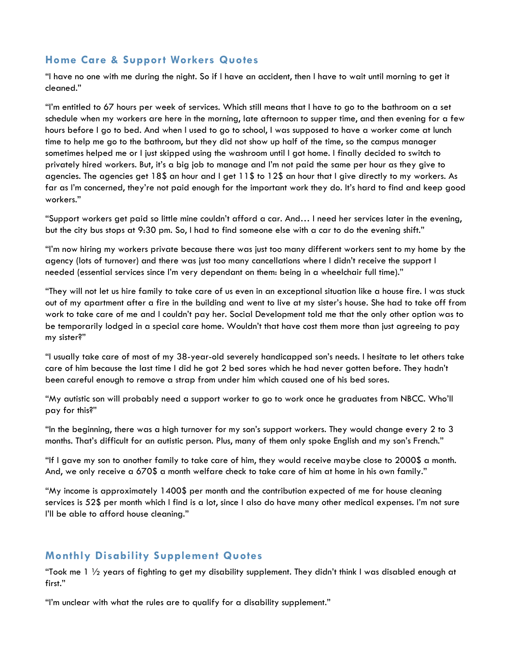#### **Home Care & Support Workers Quotes**

"I have no one with me during the night. So if I have an accident, then I have to wait until morning to get it cleaned."

"I'm entitled to 67 hours per week of services. Which still means that I have to go to the bathroom on a set schedule when my workers are here in the morning, late afternoon to supper time, and then evening for a few hours before I go to bed. And when I used to go to school, I was supposed to have a worker come at lunch time to help me go to the bathroom, but they did not show up half of the time, so the campus manager sometimes helped me or I just skipped using the washroom until I got home. I finally decided to switch to privately hired workers. But, it's a big job to manage and I'm not paid the same per hour as they give to agencies. The agencies get 18\$ an hour and I get 11\$ to 12\$ an hour that I give directly to my workers. As far as I'm concerned, they're not paid enough for the important work they do. It's hard to find and keep good workers."

"Support workers get paid so little mine couldn't afford a car. And… I need her services later in the evening, but the city bus stops at 9:30 pm. So, I had to find someone else with a car to do the evening shift."

"I'm now hiring my workers private because there was just too many different workers sent to my home by the agency (lots of turnover) and there was just too many cancellations where I didn't receive the support I needed (essential services since I'm very dependant on them: being in a wheelchair full time)."

"They will not let us hire family to take care of us even in an exceptional situation like a house fire. I was stuck out of my apartment after a fire in the building and went to live at my sister's house. She had to take off from work to take care of me and I couldn't pay her. Social Development told me that the only other option was to be temporarily lodged in a special care home. Wouldn't that have cost them more than just agreeing to pay my sister?"

"I usually take care of most of my 38-year-old severely handicapped son's needs. I hesitate to let others take care of him because the last time I did he got 2 bed sores which he had never gotten before. They hadn't been careful enough to remove a strap from under him which caused one of his bed sores.

"My autistic son will probably need a support worker to go to work once he graduates from NBCC. Who'll pay for this?"

"In the beginning, there was a high turnover for my son's support workers. They would change every 2 to 3 months. That's difficult for an autistic person. Plus, many of them only spoke English and my son's French."

"If I gave my son to another family to take care of him, they would receive maybe close to 2000\$ a month. And, we only receive a 670\$ a month welfare check to take care of him at home in his own family."

"My income is approximately 1400\$ per month and the contribution expected of me for house cleaning services is 52\$ per month which I find is a lot, since I also do have many other medical expenses. I'm not sure I'll be able to afford house cleaning."

#### **Monthly Disability Supplement Quotes**

"Took me  $1\frac{1}{2}$  years of fighting to get my disability supplement. They didn't think I was disabled enough at first."

"I'm unclear with what the rules are to qualify for a disability supplement."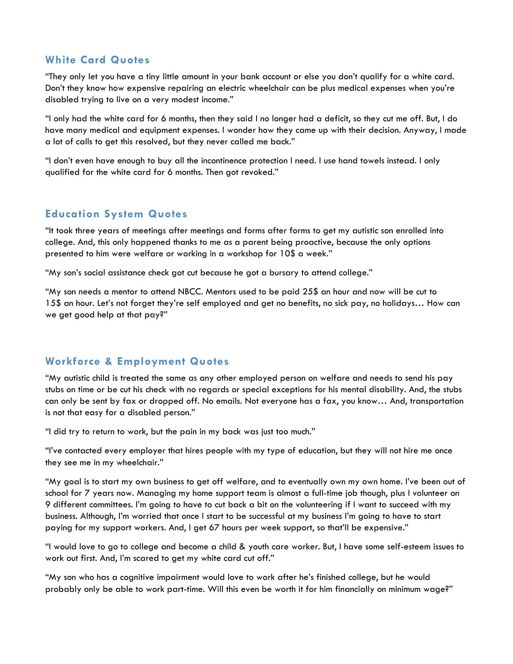#### **White Card Quotes**

"They only let you have a tiny little amount in your bank account or else you don't qualify for a white card. Don't they know how expensive repairing an electric wheelchair can be plus medical expenses when you're disabled trying to live on a very modest income."

"I only had the white card for 6 months, then they said I no longer had a deficit, so they cut me off. But, I do have many medical and equipment expenses. I wonder how they came up with their decision. Anyway, I made a lot of calls to get this resolved, but they never called me back."

"I don't even have enough to buy all the incontinence protection I need. I use hand towels instead. I only qualified for the white card for 6 months. Then got revoked."

#### **Education System Quotes**

"It took three years of meetings after meetings and forms after forms to get my autistic son enrolled into college. And, this only happened thanks to me as a parent being proactive, because the only options presented to him were welfare or working in a workshop for 10\$ a week."

"My son's social assistance check got cut because he got a bursary to attend college."

"My son needs a mentor to attend NBCC. Mentors used to be paid 25\$ an hour and now will be cut to 15\$ an hour. Let's not forget they're self employed and get no benefits, no sick pay, no holidays… How can we get good help at that pay?"

#### **Workforce & Employment Quotes**

"My autistic child is treated the same as any other employed person on welfare and needs to send his pay stubs on time or be cut his check with no regards or special exceptions for his mental disability. And, the stubs can only be sent by fax or dropped off. No emails. Not everyone has a fax, you know… And, transportation is not that easy for a disabled person."

"I did try to return to work, but the pain in my back was just too much."

"I've contacted every employer that hires people with my type of education, but they will not hire me once they see me in my wheelchair."

"My goal is to start my own business to get off welfare, and to eventually own my own home. I've been out of school for 7 years now. Managing my home support team is almost a full-time job though, plus I volunteer on 9 different committees. I'm going to have to cut back a bit on the volunteering if I want to succeed with my business. Although, I'm worried that once I start to be successful at my business I'm going to have to start paying for my support workers. And, I get 67 hours per week support, so that'll be expensive."

"I would love to go to college and become a child & youth care worker. But, I have some self-esteem issues to work out first. And, I'm scared to get my white card cut off."

"My son who has a cognitive impairment would love to work after he's finished college, but he would probably only be able to work part-time. Will this even be worth it for him financially on minimum wage?"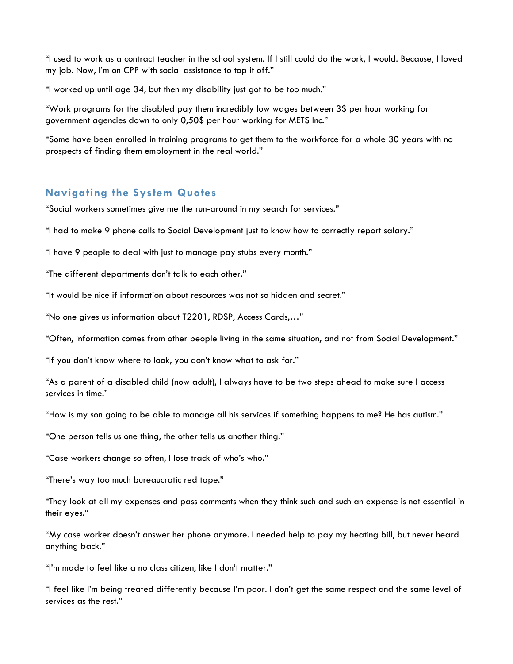"I used to work as a contract teacher in the school system. If I still could do the work, I would. Because, I loved my job. Now, I'm on CPP with social assistance to top it off."

"I worked up until age 34, but then my disability just got to be too much."

"Work programs for the disabled pay them incredibly low wages between 3\$ per hour working for government agencies down to only 0,50\$ per hour working for METS Inc."

"Some have been enrolled in training programs to get them to the workforce for a whole 30 years with no prospects of finding them employment in the real world."

#### **Navigating the System Quotes**

"Social workers sometimes give me the run-around in my search for services."

"I had to make 9 phone calls to Social Development just to know how to correctly report salary."

"I have 9 people to deal with just to manage pay stubs every month."

"The different departments don't talk to each other."

"It would be nice if information about resources was not so hidden and secret."

"No one gives us information about T2201, RDSP, Access Cards,…"

"Often, information comes from other people living in the same situation, and not from Social Development."

"If you don't know where to look, you don't know what to ask for."

"As a parent of a disabled child (now adult), I always have to be two steps ahead to make sure I access services in time."

"How is my son going to be able to manage all his services if something happens to me? He has autism."

"One person tells us one thing, the other tells us another thing."

"Case workers change so often, I lose track of who's who."

"There's way too much bureaucratic red tape."

"They look at all my expenses and pass comments when they think such and such an expense is not essential in their eyes."

"My case worker doesn't answer her phone anymore. I needed help to pay my heating bill, but never heard anything back."

"I'm made to feel like a no class citizen, like I don't matter."

"I feel like I'm being treated differently because I'm poor. I don't get the same respect and the same level of services as the rest."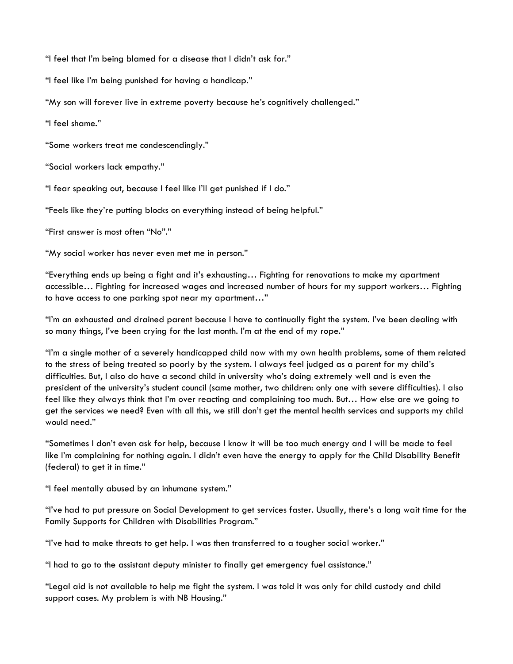"I feel that I'm being blamed for a disease that I didn't ask for."

"I feel like I'm being punished for having a handicap."

"My son will forever live in extreme poverty because he's cognitively challenged."

"I feel shame."

"Some workers treat me condescendingly."

"Social workers lack empathy."

"I fear speaking out, because I feel like I'll get punished if I do."

"Feels like they're putting blocks on everything instead of being helpful."

"First answer is most often "No"."

"My social worker has never even met me in person."

"Everything ends up being a fight and it's exhausting… Fighting for renovations to make my apartment accessible… Fighting for increased wages and increased number of hours for my support workers… Fighting to have access to one parking spot near my apartment…"

"I'm an exhausted and drained parent because I have to continually fight the system. I've been dealing with so many things, I've been crying for the last month. I'm at the end of my rope."

"I'm a single mother of a severely handicapped child now with my own health problems, some of them related to the stress of being treated so poorly by the system. I always feel judged as a parent for my child's difficulties. But, I also do have a second child in university who's doing extremely well and is even the president of the university's student council (same mother, two children: only one with severe difficulties). I also feel like they always think that I'm over reacting and complaining too much. But… How else are we going to get the services we need? Even with all this, we still don't get the mental health services and supports my child would need."

"Sometimes I don't even ask for help, because I know it will be too much energy and I will be made to feel like I'm complaining for nothing again. I didn't even have the energy to apply for the Child Disability Benefit (federal) to get it in time."

"I feel mentally abused by an inhumane system."

"I've had to put pressure on Social Development to get services faster. Usually, there's a long wait time for the Family Supports for Children with Disabilities Program."

"I've had to make threats to get help. I was then transferred to a tougher social worker."

"I had to go to the assistant deputy minister to finally get emergency fuel assistance."

"Legal aid is not available to help me fight the system. I was told it was only for child custody and child support cases. My problem is with NB Housing."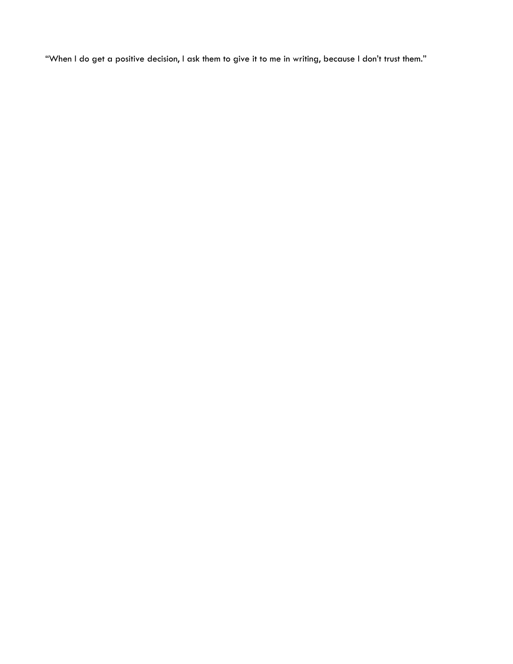"When I do get a positive decision, I ask them to give it to me in writing, because I don't trust them."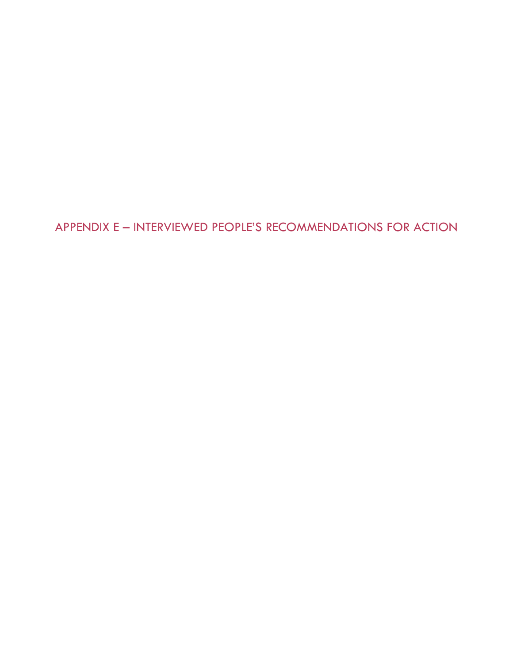APPENDIX E – INTERVIEWED PEOPLE'S RECOMMENDATIONS FOR ACTION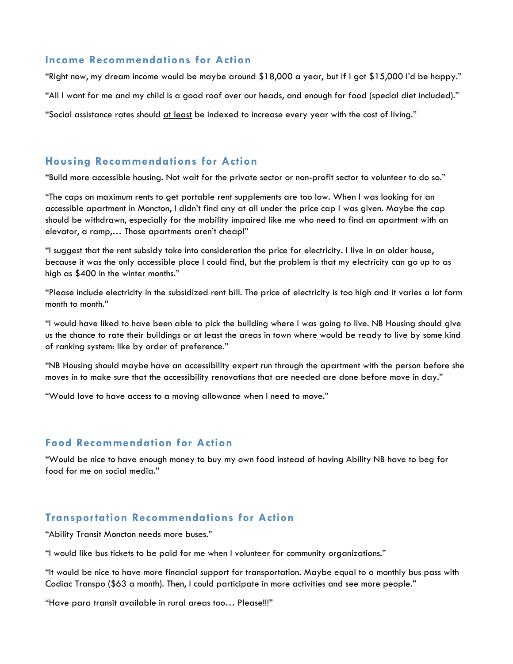#### **Income Recommendations for Action**

"Right now, my dream income would be maybe around \$18,000 a year, but if I got \$15,000 I'd be happy."

"All I want for me and my child is a good roof over our heads, and enough for food (special diet included)."

"Social assistance rates should at least be indexed to increase every year with the cost of living."

#### **Housing Recommendations for Action**

"Build more accessible housing. Not wait for the private sector or non-profit sector to volunteer to do so."

"The caps on maximum rents to get portable rent supplements are too low. When I was looking for an accessible apartment in Moncton, I didn't find any at all under the price cap I was given. Maybe the cap should be withdrawn, especially for the mobility impaired like me who need to find an apartment with an elevator, a ramp,… Those apartments aren't cheap!"

"I suggest that the rent subsidy take into consideration the price for electricity. I live in an older house, because it was the only accessible place I could find, but the problem is that my electricity can go up to as high as \$400 in the winter months."

"Please include electricity in the subsidized rent bill. The price of electricity is too high and it varies a lot form month to month."

"I would have liked to have been able to pick the building where I was going to live. NB Housing should give us the chance to rate their buildings or at least the areas in town where would be ready to live by some kind of ranking system: like by order of preference."

"NB Housing should maybe have an accessibility expert run through the apartment with the person before she moves in to make sure that the accessibility renovations that are needed are done before move in day."

"Would love to have access to a moving allowance when I need to move."

#### **Food Recommendation for Action**

"Would be nice to have enough money to buy my own food instead of having Ability NB have to beg for food for me on social media."

#### **Transportation Recommendations for Action**

"Ability Transit Moncton needs more buses."

"I would like bus tickets to be paid for me when I volunteer for community organizations."

"It would be nice to have more financial support for transportation. Maybe equal to a monthly bus pass with Codiac Transpo (\$63 a month). Then, I could participate in more activities and see more people."

"Have para transit available in rural areas too… Please!!!"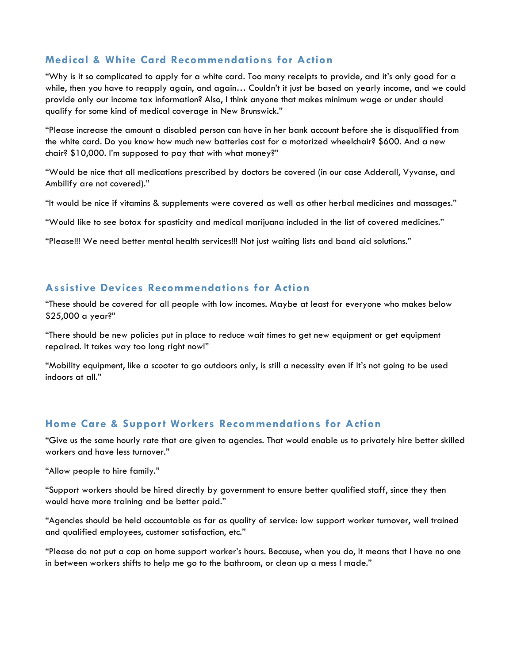#### **Medical & White Card Recommendations for Action**

"Why is it so complicated to apply for a white card. Too many receipts to provide, and it's only good for a while, then you have to reapply again, and again... Couldn't it just be based on yearly income, and we could provide only our income tax information? Also, I think anyone that makes minimum wage or under should qualify for some kind of medical coverage in New Brunswick."

"Please increase the amount a disabled person can have in her bank account before she is disqualified from the white card. Do you know how much new batteries cost for a motorized wheelchair? \$600. And a new chair? \$10,000. I'm supposed to pay that with what money?"

"Would be nice that all medications prescribed by doctors be covered (in our case Adderall, Vyvanse, and Ambilify are not covered)."

"It would be nice if vitamins & supplements were covered as well as other herbal medicines and massages."

"Would like to see botox for spasticity and medical marijuana included in the list of covered medicines."

"Please!!! We need better mental health services!!! Not just waiting lists and band aid solutions."

#### **Assistive Devices Recommendations for Action**

"These should be covered for all people with low incomes. Maybe at least for everyone who makes below \$25,000 a year?"

"There should be new policies put in place to reduce wait times to get new equipment or get equipment repaired. It takes way too long right now!"

"Mobility equipment, like a scooter to go outdoors only, is still a necessity even if it's not going to be used indoors at all."

#### **Home Care & Support Workers Recommendations for Action**

"Give us the same hourly rate that are given to agencies. That would enable us to privately hire better skilled workers and have less turnover."

"Allow people to hire family."

"Support workers should be hired directly by government to ensure better qualified staff, since they then would have more training and be better paid."

"Agencies should be held accountable as far as quality of service: low support worker turnover, well trained and qualified employees, customer satisfaction, etc."

"Please do not put a cap on home support worker's hours. Because, when you do, it means that I have no one in between workers shifts to help me go to the bathroom, or clean up a mess I made."